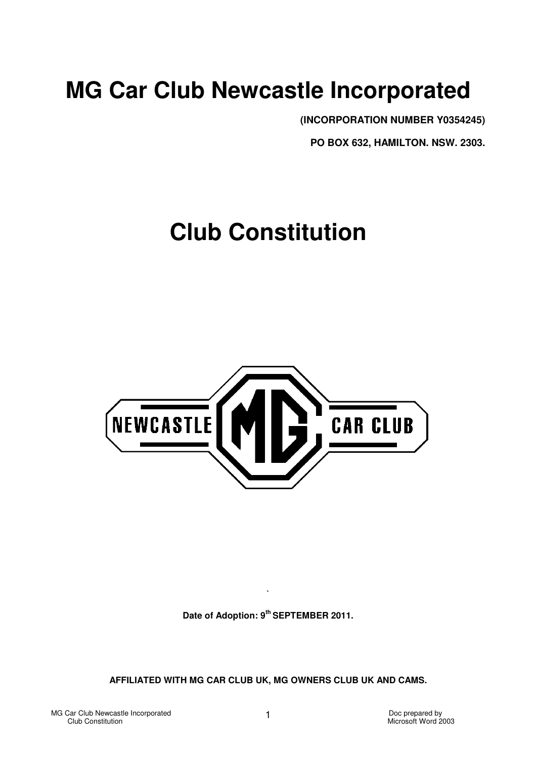# **MG Car Club Newcastle Incorporated**

**(INCORPORATION NUMBER Y0354245)** 

**PO BOX 632, HAMILTON. NSW. 2303.** 

# **Club Constitution**



**Date of Adoption: 9th SEPTEMBER 2011.** 

**`** 

**AFFILIATED WITH MG CAR CLUB UK, MG OWNERS CLUB UK AND CAMS.**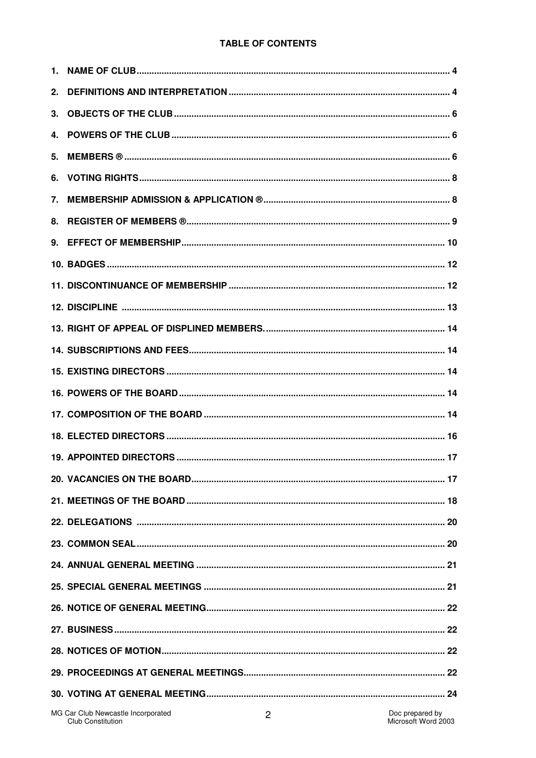## **TABLE OF CONTENTS**

| 1. |                                                                |   |                                        |
|----|----------------------------------------------------------------|---|----------------------------------------|
| 2. |                                                                |   |                                        |
| 3. |                                                                |   |                                        |
| 4. |                                                                |   |                                        |
| 5. |                                                                |   |                                        |
| 6. |                                                                |   |                                        |
| 7. |                                                                |   |                                        |
| 8. |                                                                |   |                                        |
| 9. |                                                                |   |                                        |
|    |                                                                |   |                                        |
|    |                                                                |   |                                        |
|    |                                                                |   |                                        |
|    |                                                                |   |                                        |
|    |                                                                |   |                                        |
|    |                                                                |   |                                        |
|    |                                                                |   |                                        |
|    |                                                                |   |                                        |
|    |                                                                |   |                                        |
|    |                                                                |   |                                        |
|    |                                                                |   |                                        |
|    |                                                                |   |                                        |
|    |                                                                |   |                                        |
|    |                                                                |   |                                        |
|    |                                                                |   |                                        |
|    |                                                                |   |                                        |
|    |                                                                |   |                                        |
|    |                                                                |   |                                        |
|    |                                                                |   |                                        |
|    |                                                                |   |                                        |
|    |                                                                |   |                                        |
|    | MG Car Club Newcastle Incorporated<br><b>Club Constitution</b> | 2 | Doc prepared by<br>Microsoft Word 2003 |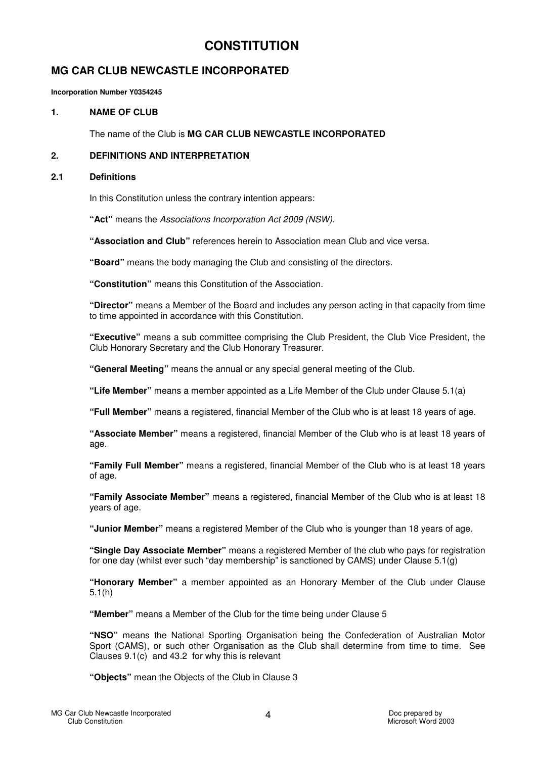## **CONSTITUTION**

## **MG CAR CLUB NEWCASTLE INCORPORATED**

**Incorporation Number Y0354245** 

## 1 NAME OF CLUB

The name of the Club is **MG CAR CLUB NEWCASTLE INCORPORATED**

## **2. DEFINITIONS AND INTERPRETATION**

#### **2.1 Definitions**

In this Constitution unless the contrary intention appears:

**"Act"** means the Associations Incorporation Act 2009 (NSW).

**"Association and Club"** references herein to Association mean Club and vice versa.

**"Board"** means the body managing the Club and consisting of the directors.

**"Constitution"** means this Constitution of the Association.

**"Director"** means a Member of the Board and includes any person acting in that capacity from time to time appointed in accordance with this Constitution.

**"Executive"** means a sub committee comprising the Club President, the Club Vice President, the Club Honorary Secretary and the Club Honorary Treasurer.

**"General Meeting"** means the annual or any special general meeting of the Club.

**"Life Member"** means a member appointed as a Life Member of the Club under Clause 5.1(a)

**"Full Member"** means a registered, financial Member of the Club who is at least 18 years of age.

**"Associate Member"** means a registered, financial Member of the Club who is at least 18 years of age.

**"Family Full Member"** means a registered, financial Member of the Club who is at least 18 years of age.

**"Family Associate Member"** means a registered, financial Member of the Club who is at least 18 years of age.

**"Junior Member"** means a registered Member of the Club who is younger than 18 years of age.

**"Single Day Associate Member"** means a registered Member of the club who pays for registration for one day (whilst ever such "day membership" is sanctioned by CAMS) under Clause 5.1(g)

**"Honorary Member"** a member appointed as an Honorary Member of the Club under Clause 5.1(h)

**"Member"** means a Member of the Club for the time being under Clause 5

**"NSO"** means the National Sporting Organisation being the Confederation of Australian Motor Sport (CAMS), or such other Organisation as the Club shall determine from time to time. See Clauses 9.1(c) and 43.2 for why this is relevant

**"Objects"** mean the Objects of the Club in Clause 3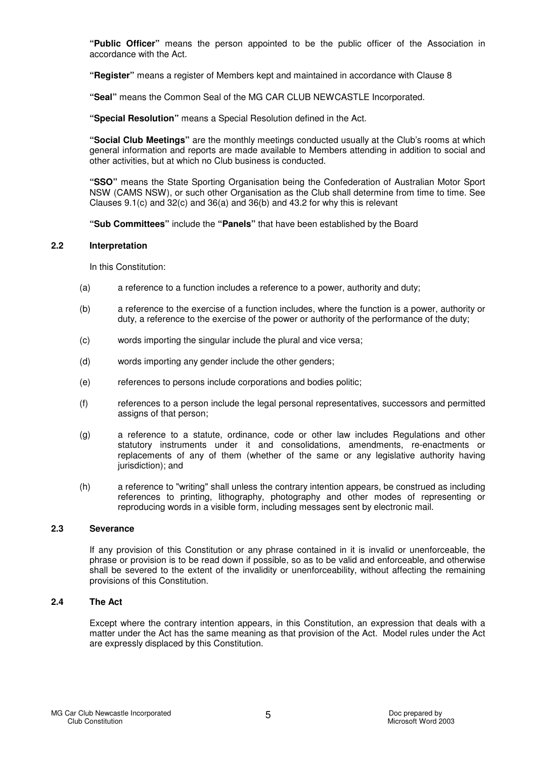**"Public Officer"** means the person appointed to be the public officer of the Association in accordance with the Act.

**"Register"** means a register of Members kept and maintained in accordance with Clause 8

**"Seal"** means the Common Seal of the MG CAR CLUB NEWCASTLE Incorporated.

**"Special Resolution"** means a Special Resolution defined in the Act.

**"Social Club Meetings"** are the monthly meetings conducted usually at the Club's rooms at which general information and reports are made available to Members attending in addition to social and other activities, but at which no Club business is conducted.

**"SSO"** means the State Sporting Organisation being the Confederation of Australian Motor Sport NSW (CAMS NSW), or such other Organisation as the Club shall determine from time to time. See Clauses 9.1(c) and 32(c) and 36(a) and 36(b) and 43.2 for why this is relevant

**"Sub Committees"** include the **"Panels"** that have been established by the Board

#### **2.2 Interpretation**

In this Constitution:

- (a) a reference to a function includes a reference to a power, authority and duty;
- (b) a reference to the exercise of a function includes, where the function is a power, authority or duty, a reference to the exercise of the power or authority of the performance of the duty;
- (c) words importing the singular include the plural and vice versa;
- (d) words importing any gender include the other genders;
- (e) references to persons include corporations and bodies politic;
- (f) references to a person include the legal personal representatives, successors and permitted assigns of that person;
- (g) a reference to a statute, ordinance, code or other law includes Regulations and other statutory instruments under it and consolidations, amendments, re-enactments or replacements of any of them (whether of the same or any legislative authority having jurisdiction); and
- (h) a reference to "writing" shall unless the contrary intention appears, be construed as including references to printing, lithography, photography and other modes of representing or reproducing words in a visible form, including messages sent by electronic mail.

#### **2.3 Severance**

If any provision of this Constitution or any phrase contained in it is invalid or unenforceable, the phrase or provision is to be read down if possible, so as to be valid and enforceable, and otherwise shall be severed to the extent of the invalidity or unenforceability, without affecting the remaining provisions of this Constitution.

## **2.4 The Act**

Except where the contrary intention appears, in this Constitution, an expression that deals with a matter under the Act has the same meaning as that provision of the Act. Model rules under the Act are expressly displaced by this Constitution.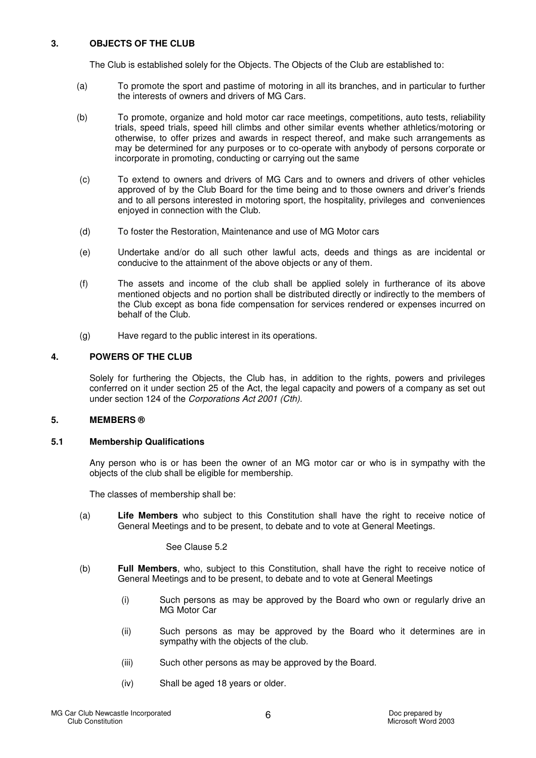## **3. OBJECTS OF THE CLUB**

The Club is established solely for the Objects. The Objects of the Club are established to:

- (a) To promote the sport and pastime of motoring in all its branches, and in particular to further the interests of owners and drivers of MG Cars.
- (b) To promote, organize and hold motor car race meetings, competitions, auto tests, reliability trials, speed trials, speed hill climbs and other similar events whether athletics/motoring or otherwise, to offer prizes and awards in respect thereof, and make such arrangements as may be determined for any purposes or to co-operate with anybody of persons corporate or incorporate in promoting, conducting or carrying out the same
- (c) To extend to owners and drivers of MG Cars and to owners and drivers of other vehicles approved of by the Club Board for the time being and to those owners and driver's friends and to all persons interested in motoring sport, the hospitality, privileges and conveniences enjoyed in connection with the Club.
- (d) To foster the Restoration, Maintenance and use of MG Motor cars
- (e) Undertake and/or do all such other lawful acts, deeds and things as are incidental or conducive to the attainment of the above objects or any of them.
- (f) The assets and income of the club shall be applied solely in furtherance of its above mentioned objects and no portion shall be distributed directly or indirectly to the members of the Club except as bona fide compensation for services rendered or expenses incurred on behalf of the Club.
- (g) Have regard to the public interest in its operations.

## **4. POWERS OF THE CLUB**

Solely for furthering the Objects, the Club has, in addition to the rights, powers and privileges conferred on it under section 25 of the Act, the legal capacity and powers of a company as set out under section 124 of the Corporations Act 2001 (Cth).

## **5. MEMBERS ®**

#### **5.1 Membership Qualifications**

Any person who is or has been the owner of an MG motor car or who is in sympathy with the objects of the club shall be eligible for membership.

The classes of membership shall be:

(a) **Life Members** who subject to this Constitution shall have the right to receive notice of General Meetings and to be present, to debate and to vote at General Meetings.

#### See Clause 5.2

- (b) **Full Members**, who, subject to this Constitution, shall have the right to receive notice of General Meetings and to be present, to debate and to vote at General Meetings
	- (i) Such persons as may be approved by the Board who own or regularly drive an MG Motor Car
	- (ii) Such persons as may be approved by the Board who it determines are in sympathy with the objects of the club.
	- (iii) Such other persons as may be approved by the Board.
	- (iv) Shall be aged 18 years or older.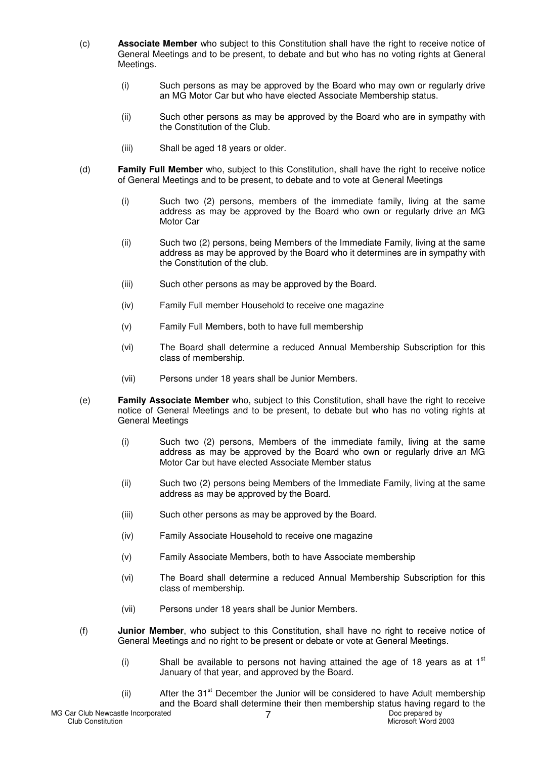- (c) **Associate Member** who subject to this Constitution shall have the right to receive notice of General Meetings and to be present, to debate and but who has no voting rights at General Meetings.
	- (i) Such persons as may be approved by the Board who may own or regularly drive an MG Motor Car but who have elected Associate Membership status.
	- (ii) Such other persons as may be approved by the Board who are in sympathy with the Constitution of the Club.
	- (iii) Shall be aged 18 years or older.
- (d) **Family Full Member** who, subject to this Constitution, shall have the right to receive notice of General Meetings and to be present, to debate and to vote at General Meetings
	- (i) Such two (2) persons, members of the immediate family, living at the same address as may be approved by the Board who own or regularly drive an MG Motor Car
	- (ii) Such two (2) persons, being Members of the Immediate Family, living at the same address as may be approved by the Board who it determines are in sympathy with the Constitution of the club.
	- (iii) Such other persons as may be approved by the Board.
	- (iv) Family Full member Household to receive one magazine
	- (v) Family Full Members, both to have full membership
	- (vi) The Board shall determine a reduced Annual Membership Subscription for this class of membership.
	- (vii) Persons under 18 years shall be Junior Members.
- (e) **Family Associate Member** who, subject to this Constitution, shall have the right to receive notice of General Meetings and to be present, to debate but who has no voting rights at General Meetings
	- (i) Such two (2) persons, Members of the immediate family, living at the same address as may be approved by the Board who own or regularly drive an MG Motor Car but have elected Associate Member status
	- (ii) Such two (2) persons being Members of the Immediate Family, living at the same address as may be approved by the Board.
	- (iii) Such other persons as may be approved by the Board.
	- (iv) Family Associate Household to receive one magazine
	- (v) Family Associate Members, both to have Associate membership
	- (vi) The Board shall determine a reduced Annual Membership Subscription for this class of membership.
	- (vii) Persons under 18 years shall be Junior Members.
- (f) **Junior Member**, who subject to this Constitution, shall have no right to receive notice of General Meetings and no right to be present or debate or vote at General Meetings.
	- (i) Shall be available to persons not having attained the age of 18 years as at  $1<sup>st</sup>$ January of that year, and approved by the Board.
	- (ii)  $A$ fter the 31<sup>st</sup> December the Junior will be considered to have Adult membership and the Board shall determine their then membership status having regard to the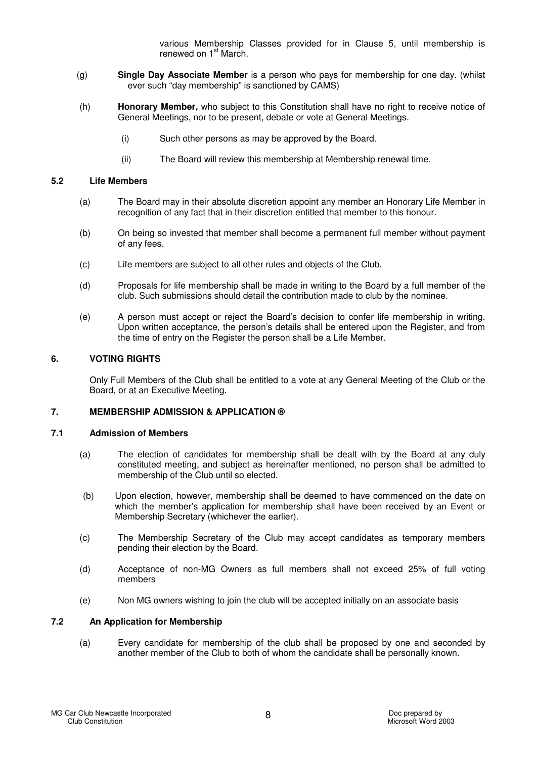various Membership Classes provided for in Clause 5, until membership is renewed on 1<sup>st</sup> March.

- (g) **Single Day Associate Member** is a person who pays for membership for one day. (whilst ever such "day membership" is sanctioned by CAMS)
- (h) **Honorary Member,** who subject to this Constitution shall have no right to receive notice of General Meetings, nor to be present, debate or vote at General Meetings.
	- (i) Such other persons as may be approved by the Board.
	- (ii) The Board will review this membership at Membership renewal time.

#### **5.2 Life Members**

- (a) The Board may in their absolute discretion appoint any member an Honorary Life Member in recognition of any fact that in their discretion entitled that member to this honour.
- (b) On being so invested that member shall become a permanent full member without payment of any fees.
- (c) Life members are subject to all other rules and objects of the Club.
- (d) Proposals for life membership shall be made in writing to the Board by a full member of the club. Such submissions should detail the contribution made to club by the nominee.
- (e) A person must accept or reject the Board's decision to confer life membership in writing. Upon written acceptance, the person's details shall be entered upon the Register, and from the time of entry on the Register the person shall be a Life Member.

## **6. VOTING RIGHTS**

Only Full Members of the Club shall be entitled to a vote at any General Meeting of the Club or the Board, or at an Executive Meeting.

#### **7. MEMBERSHIP ADMISSION & APPLICATION ®**

#### **7.1 Admission of Members**

- (a) The election of candidates for membership shall be dealt with by the Board at any duly constituted meeting, and subject as hereinafter mentioned, no person shall be admitted to membership of the Club until so elected.
- (b) Upon election, however, membership shall be deemed to have commenced on the date on which the member's application for membership shall have been received by an Event or Membership Secretary (whichever the earlier).
- (c) The Membership Secretary of the Club may accept candidates as temporary members pending their election by the Board.
- (d) Acceptance of non-MG Owners as full members shall not exceed 25% of full voting members
- (e) Non MG owners wishing to join the club will be accepted initially on an associate basis

#### **7.2 An Application for Membership**

(a) Every candidate for membership of the club shall be proposed by one and seconded by another member of the Club to both of whom the candidate shall be personally known.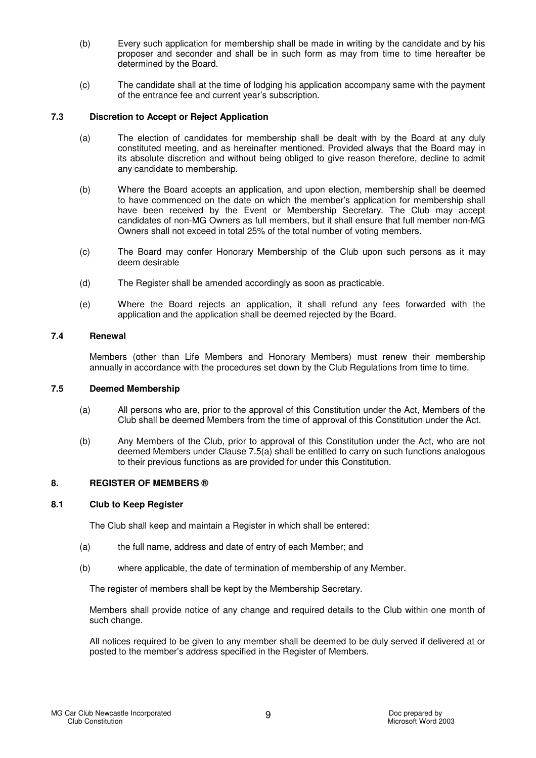- (b) Every such application for membership shall be made in writing by the candidate and by his proposer and seconder and shall be in such form as may from time to time hereafter be determined by the Board.
- (c) The candidate shall at the time of lodging his application accompany same with the payment of the entrance fee and current year's subscription.

## **7.3 Discretion to Accept or Reject Application**

- (a) The election of candidates for membership shall be dealt with by the Board at any duly constituted meeting, and as hereinafter mentioned. Provided always that the Board may in its absolute discretion and without being obliged to give reason therefore, decline to admit any candidate to membership.
- (b) Where the Board accepts an application, and upon election, membership shall be deemed to have commenced on the date on which the member's application for membership shall have been received by the Event or Membership Secretary. The Club may accept candidates of non-MG Owners as full members, but it shall ensure that full member non-MG Owners shall not exceed in total 25% of the total number of voting members.
- (c) The Board may confer Honorary Membership of the Club upon such persons as it may deem desirable
- (d) The Register shall be amended accordingly as soon as practicable.
- (e) Where the Board rejects an application, it shall refund any fees forwarded with the application and the application shall be deemed rejected by the Board.

#### **7.4 Renewal**

Members (other than Life Members and Honorary Members) must renew their membership annually in accordance with the procedures set down by the Club Regulations from time to time.

#### **7.5 Deemed Membership**

- (a) All persons who are, prior to the approval of this Constitution under the Act, Members of the Club shall be deemed Members from the time of approval of this Constitution under the Act.
- (b) Any Members of the Club, prior to approval of this Constitution under the Act, who are not deemed Members under Clause 7.5(a) shall be entitled to carry on such functions analogous to their previous functions as are provided for under this Constitution.

## **8. REGISTER OF MEMBERS ®**

## **8.1 Club to Keep Register**

The Club shall keep and maintain a Register in which shall be entered:

- (a) the full name, address and date of entry of each Member; and
- (b) where applicable, the date of termination of membership of any Member.

The register of members shall be kept by the Membership Secretary.

Members shall provide notice of any change and required details to the Club within one month of such change.

All notices required to be given to any member shall be deemed to be duly served if delivered at or posted to the member's address specified in the Register of Members.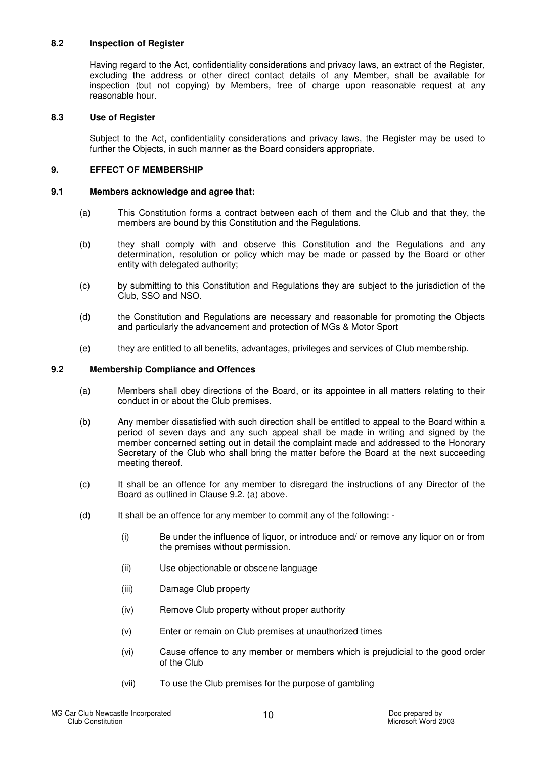## **8.2 Inspection of Register**

Having regard to the Act, confidentiality considerations and privacy laws, an extract of the Register, excluding the address or other direct contact details of any Member, shall be available for inspection (but not copying) by Members, free of charge upon reasonable request at any reasonable hour.

#### **8.3 Use of Register**

Subject to the Act, confidentiality considerations and privacy laws, the Register may be used to further the Objects, in such manner as the Board considers appropriate.

#### **9. EFFECT OF MEMBERSHIP**

#### **9.1 Members acknowledge and agree that:**

- (a) This Constitution forms a contract between each of them and the Club and that they, the members are bound by this Constitution and the Regulations.
- (b) they shall comply with and observe this Constitution and the Regulations and any determination, resolution or policy which may be made or passed by the Board or other entity with delegated authority;
- (c) by submitting to this Constitution and Regulations they are subject to the jurisdiction of the Club, SSO and NSO.
- (d) the Constitution and Regulations are necessary and reasonable for promoting the Objects and particularly the advancement and protection of MGs & Motor Sport
- (e) they are entitled to all benefits, advantages, privileges and services of Club membership.

#### **9.2 Membership Compliance and Offences**

- (a) Members shall obey directions of the Board, or its appointee in all matters relating to their conduct in or about the Club premises.
- (b) Any member dissatisfied with such direction shall be entitled to appeal to the Board within a period of seven days and any such appeal shall be made in writing and signed by the member concerned setting out in detail the complaint made and addressed to the Honorary Secretary of the Club who shall bring the matter before the Board at the next succeeding meeting thereof.
- (c) It shall be an offence for any member to disregard the instructions of any Director of the Board as outlined in Clause 9.2. (a) above.
- (d) It shall be an offence for any member to commit any of the following:
	- (i) Be under the influence of liquor, or introduce and/ or remove any liquor on or from the premises without permission.
	- (ii) Use objectionable or obscene language
	- (iii) Damage Club property
	- (iv) Remove Club property without proper authority
	- (v) Enter or remain on Club premises at unauthorized times
	- (vi) Cause offence to any member or members which is prejudicial to the good order of the Club
	- (vii) To use the Club premises for the purpose of gambling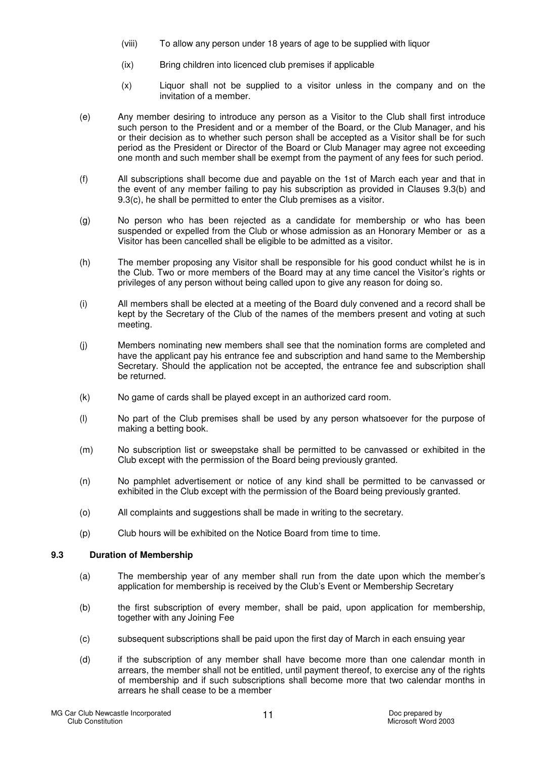- (viii) To allow any person under 18 years of age to be supplied with liquor
- (ix) Bring children into licenced club premises if applicable
- (x) Liquor shall not be supplied to a visitor unless in the company and on the invitation of a member.
- (e) Any member desiring to introduce any person as a Visitor to the Club shall first introduce such person to the President and or a member of the Board, or the Club Manager, and his or their decision as to whether such person shall be accepted as a Visitor shall be for such period as the President or Director of the Board or Club Manager may agree not exceeding one month and such member shall be exempt from the payment of any fees for such period.
- (f) All subscriptions shall become due and payable on the 1st of March each year and that in the event of any member failing to pay his subscription as provided in Clauses 9.3(b) and 9.3(c), he shall be permitted to enter the Club premises as a visitor.
- (g) No person who has been rejected as a candidate for membership or who has been suspended or expelled from the Club or whose admission as an Honorary Member or as a Visitor has been cancelled shall be eligible to be admitted as a visitor.
- (h) The member proposing any Visitor shall be responsible for his good conduct whilst he is in the Club. Two or more members of the Board may at any time cancel the Visitor's rights or privileges of any person without being called upon to give any reason for doing so.
- (i) All members shall be elected at a meeting of the Board duly convened and a record shall be kept by the Secretary of the Club of the names of the members present and voting at such meeting.
- (j) Members nominating new members shall see that the nomination forms are completed and have the applicant pay his entrance fee and subscription and hand same to the Membership Secretary. Should the application not be accepted, the entrance fee and subscription shall be returned.
- (k) No game of cards shall be played except in an authorized card room.
- (l) No part of the Club premises shall be used by any person whatsoever for the purpose of making a betting book.
- (m) No subscription list or sweepstake shall be permitted to be canvassed or exhibited in the Club except with the permission of the Board being previously granted.
- (n) No pamphlet advertisement or notice of any kind shall be permitted to be canvassed or exhibited in the Club except with the permission of the Board being previously granted.
- (o) All complaints and suggestions shall be made in writing to the secretary.
- (p) Club hours will be exhibited on the Notice Board from time to time.

## **9.3 Duration of Membership**

- (a) The membership year of any member shall run from the date upon which the member's application for membership is received by the Club's Event or Membership Secretary
- (b) the first subscription of every member, shall be paid, upon application for membership, together with any Joining Fee
- (c) subsequent subscriptions shall be paid upon the first day of March in each ensuing year
- (d) if the subscription of any member shall have become more than one calendar month in arrears, the member shall not be entitled, until payment thereof, to exercise any of the rights of membership and if such subscriptions shall become more that two calendar months in arrears he shall cease to be a member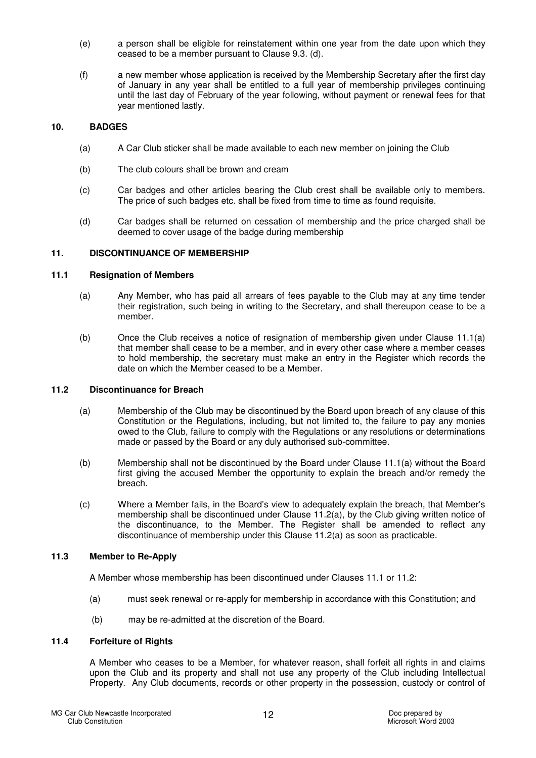- (e) a person shall be eligible for reinstatement within one year from the date upon which they ceased to be a member pursuant to Clause 9.3. (d).
- (f) a new member whose application is received by the Membership Secretary after the first day of January in any year shall be entitled to a full year of membership privileges continuing until the last day of February of the year following, without payment or renewal fees for that year mentioned lastly.

## **10. BADGES**

- (a) A Car Club sticker shall be made available to each new member on joining the Club
- (b) The club colours shall be brown and cream
- (c) Car badges and other articles bearing the Club crest shall be available only to members. The price of such badges etc. shall be fixed from time to time as found requisite.
- (d) Car badges shall be returned on cessation of membership and the price charged shall be deemed to cover usage of the badge during membership

#### **11. DISCONTINUANCE OF MEMBERSHIP**

#### **11.1 Resignation of Members**

- (a) Any Member, who has paid all arrears of fees payable to the Club may at any time tender their registration, such being in writing to the Secretary, and shall thereupon cease to be a member.
- (b) Once the Club receives a notice of resignation of membership given under Clause 11.1(a) that member shall cease to be a member, and in every other case where a member ceases to hold membership, the secretary must make an entry in the Register which records the date on which the Member ceased to be a Member.

#### **11.2 Discontinuance for Breach**

- (a) Membership of the Club may be discontinued by the Board upon breach of any clause of this Constitution or the Regulations, including, but not limited to, the failure to pay any monies owed to the Club, failure to comply with the Regulations or any resolutions or determinations made or passed by the Board or any duly authorised sub-committee.
- (b) Membership shall not be discontinued by the Board under Clause 11.1(a) without the Board first giving the accused Member the opportunity to explain the breach and/or remedy the breach.
- (c) Where a Member fails, in the Board's view to adequately explain the breach, that Member's membership shall be discontinued under Clause 11.2(a), by the Club giving written notice of the discontinuance, to the Member. The Register shall be amended to reflect any discontinuance of membership under this Clause 11.2(a) as soon as practicable.

## **11.3 Member to Re-Apply**

A Member whose membership has been discontinued under Clauses 11.1 or 11.2:

- (a) must seek renewal or re-apply for membership in accordance with this Constitution; and
- (b) may be re-admitted at the discretion of the Board.

#### **11.4 Forfeiture of Rights**

A Member who ceases to be a Member, for whatever reason, shall forfeit all rights in and claims upon the Club and its property and shall not use any property of the Club including Intellectual Property. Any Club documents, records or other property in the possession, custody or control of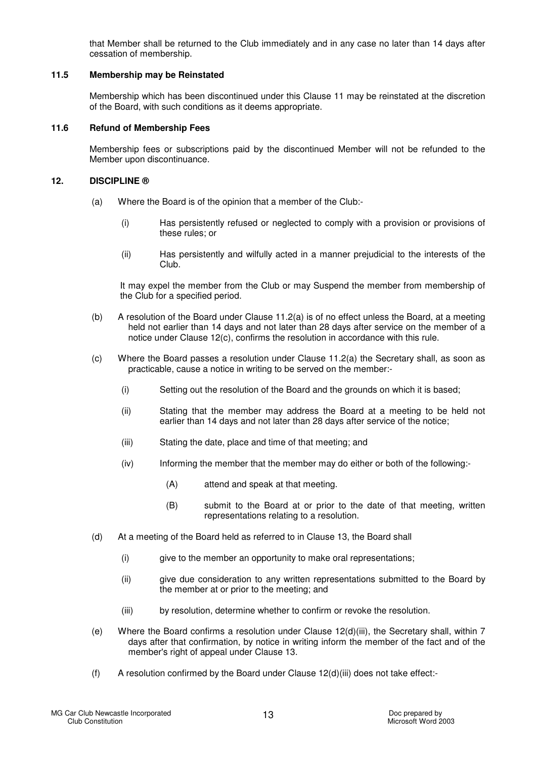that Member shall be returned to the Club immediately and in any case no later than 14 days after cessation of membership.

#### **11.5 Membership may be Reinstated**

Membership which has been discontinued under this Clause 11 may be reinstated at the discretion of the Board, with such conditions as it deems appropriate.

#### **11.6 Refund of Membership Fees**

Membership fees or subscriptions paid by the discontinued Member will not be refunded to the Member upon discontinuance.

## **12. DISCIPLINE ®**

- (a) Where the Board is of the opinion that a member of the Club:-
	- (i) Has persistently refused or neglected to comply with a provision or provisions of these rules; or
	- (ii) Has persistently and wilfully acted in a manner prejudicial to the interests of the Club.

It may expel the member from the Club or may Suspend the member from membership of the Club for a specified period.

- (b) A resolution of the Board under Clause 11.2(a) is of no effect unless the Board, at a meeting held not earlier than 14 days and not later than 28 days after service on the member of a notice under Clause 12(c), confirms the resolution in accordance with this rule.
- (c) Where the Board passes a resolution under Clause 11.2(a) the Secretary shall, as soon as practicable, cause a notice in writing to be served on the member:-
	- (i) Setting out the resolution of the Board and the grounds on which it is based;
	- (ii) Stating that the member may address the Board at a meeting to be held not earlier than 14 days and not later than 28 days after service of the notice;
	- (iii) Stating the date, place and time of that meeting; and
	- (iv) Informing the member that the member may do either or both of the following:-
		- (A) attend and speak at that meeting.
		- (B) submit to the Board at or prior to the date of that meeting, written representations relating to a resolution.
- (d) At a meeting of the Board held as referred to in Clause 13, the Board shall
	- (i) give to the member an opportunity to make oral representations;
	- (ii) give due consideration to any written representations submitted to the Board by the member at or prior to the meeting; and
	- (iii) by resolution, determine whether to confirm or revoke the resolution.
- (e) Where the Board confirms a resolution under Clause 12(d)(iii), the Secretary shall, within 7 days after that confirmation, by notice in writing inform the member of the fact and of the member's right of appeal under Clause 13.
- (f) A resolution confirmed by the Board under Clause 12(d)(iii) does not take effect:-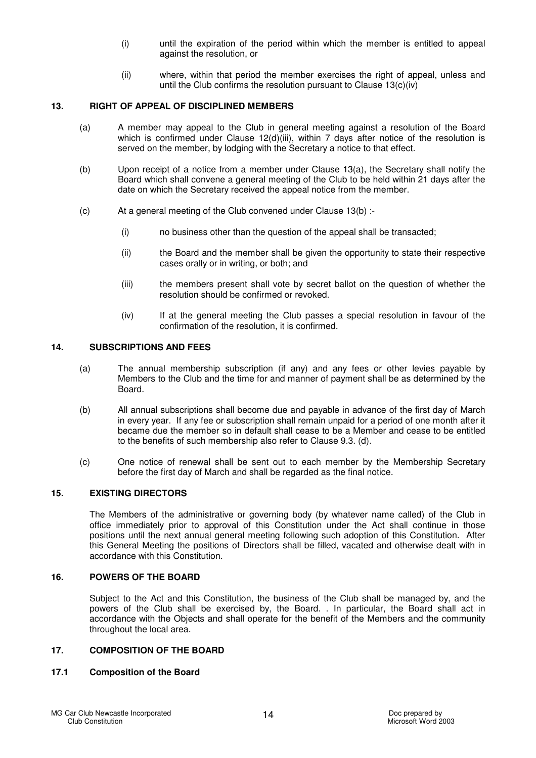- (i) until the expiration of the period within which the member is entitled to appeal against the resolution, or
- (ii) where, within that period the member exercises the right of appeal, unless and until the Club confirms the resolution pursuant to Clause 13(c)(iv)

#### **13. RIGHT OF APPEAL OF DISCIPLINED MEMBERS**

- (a) A member may appeal to the Club in general meeting against a resolution of the Board which is confirmed under Clause  $12(d)(iii)$ , within 7 days after notice of the resolution is served on the member, by lodging with the Secretary a notice to that effect.
- (b) Upon receipt of a notice from a member under Clause 13(a), the Secretary shall notify the Board which shall convene a general meeting of the Club to be held within 21 days after the date on which the Secretary received the appeal notice from the member.
- (c) At a general meeting of the Club convened under Clause 13(b) :-
	- (i) no business other than the question of the appeal shall be transacted;
	- (ii) the Board and the member shall be given the opportunity to state their respective cases orally or in writing, or both; and
	- (iii) the members present shall vote by secret ballot on the question of whether the resolution should be confirmed or revoked.
	- (iv) If at the general meeting the Club passes a special resolution in favour of the confirmation of the resolution, it is confirmed.

## **14. SUBSCRIPTIONS AND FEES**

- (a) The annual membership subscription (if any) and any fees or other levies payable by Members to the Club and the time for and manner of payment shall be as determined by the Board.
- (b) All annual subscriptions shall become due and payable in advance of the first day of March in every year. If any fee or subscription shall remain unpaid for a period of one month after it became due the member so in default shall cease to be a Member and cease to be entitled to the benefits of such membership also refer to Clause 9.3. (d).
- (c) One notice of renewal shall be sent out to each member by the Membership Secretary before the first day of March and shall be regarded as the final notice.

## **15. EXISTING DIRECTORS**

The Members of the administrative or governing body (by whatever name called) of the Club in office immediately prior to approval of this Constitution under the Act shall continue in those positions until the next annual general meeting following such adoption of this Constitution. After this General Meeting the positions of Directors shall be filled, vacated and otherwise dealt with in accordance with this Constitution.

## **16. POWERS OF THE BOARD**

Subject to the Act and this Constitution, the business of the Club shall be managed by, and the powers of the Club shall be exercised by, the Board. . In particular, the Board shall act in accordance with the Objects and shall operate for the benefit of the Members and the community throughout the local area.

#### **17. COMPOSITION OF THE BOARD**

## **17.1 Composition of the Board**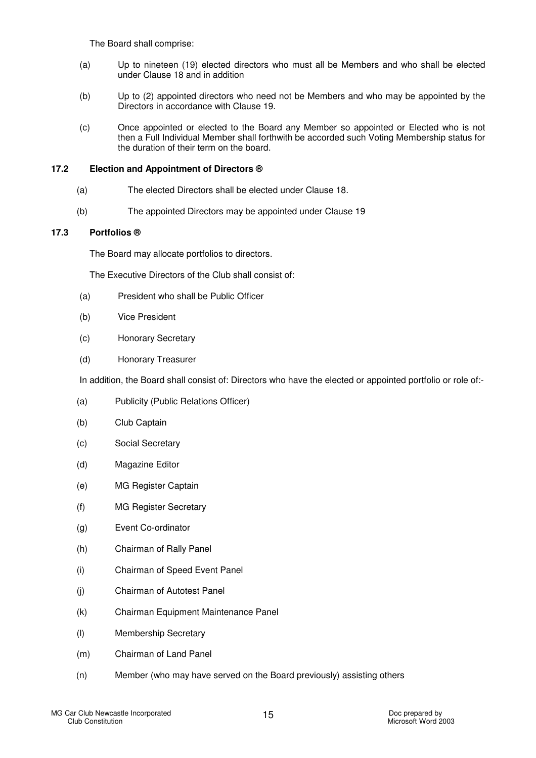The Board shall comprise:

- (a) Up to nineteen (19) elected directors who must all be Members and who shall be elected under Clause 18 and in addition
- (b) Up to (2) appointed directors who need not be Members and who may be appointed by the Directors in accordance with Clause 19.
- (c) Once appointed or elected to the Board any Member so appointed or Elected who is not then a Full Individual Member shall forthwith be accorded such Voting Membership status for the duration of their term on the board.

## **17.2 Election and Appointment of Directors ®**

- (a) The elected Directors shall be elected under Clause 18.
- (b) The appointed Directors may be appointed under Clause 19

## **17.3 Portfolios ®**

The Board may allocate portfolios to directors.

The Executive Directors of the Club shall consist of:

- (a) President who shall be Public Officer
- (b) Vice President
- (c) Honorary Secretary
- (d) Honorary Treasurer

In addition, the Board shall consist of: Directors who have the elected or appointed portfolio or role of:-

- (a) Publicity (Public Relations Officer)
- (b) Club Captain
- (c) Social Secretary
- (d) Magazine Editor
- (e) MG Register Captain
- (f) MG Register Secretary
- (g) Event Co-ordinator
- (h) Chairman of Rally Panel
- (i) Chairman of Speed Event Panel
- (j) Chairman of Autotest Panel
- (k) Chairman Equipment Maintenance Panel
- (l) Membership Secretary
- (m) Chairman of Land Panel
- (n) Member (who may have served on the Board previously) assisting others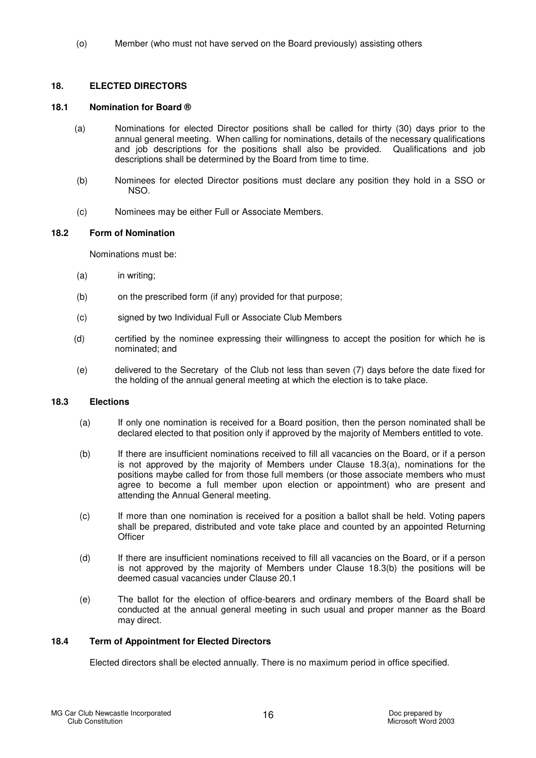(o) Member (who must not have served on the Board previously) assisting others

## **18. ELECTED DIRECTORS**

#### **18.1 Nomination for Board ®**

- (a) Nominations for elected Director positions shall be called for thirty (30) days prior to the annual general meeting. When calling for nominations, details of the necessary qualifications and job descriptions for the positions shall also be provided. Qualifications and job descriptions shall be determined by the Board from time to time.
- (b) Nominees for elected Director positions must declare any position they hold in a SSO or NSO.
- (c) Nominees may be either Full or Associate Members.

#### **18.2 Form of Nomination**

Nominations must be:

- (a) in writing;
- (b) on the prescribed form (if any) provided for that purpose;
- (c) signed by two Individual Full or Associate Club Members
- (d) certified by the nominee expressing their willingness to accept the position for which he is nominated; and
- (e) delivered to the Secretary of the Club not less than seven (7) days before the date fixed for the holding of the annual general meeting at which the election is to take place.

#### **18.3 Elections**

- (a) If only one nomination is received for a Board position, then the person nominated shall be declared elected to that position only if approved by the majority of Members entitled to vote.
- (b) If there are insufficient nominations received to fill all vacancies on the Board, or if a person is not approved by the majority of Members under Clause 18.3(a), nominations for the positions maybe called for from those full members (or those associate members who must agree to become a full member upon election or appointment) who are present and attending the Annual General meeting.
- (c) If more than one nomination is received for a position a ballot shall be held. Voting papers shall be prepared, distributed and vote take place and counted by an appointed Returning **Officer**
- (d) If there are insufficient nominations received to fill all vacancies on the Board, or if a person is not approved by the majority of Members under Clause 18.3(b) the positions will be deemed casual vacancies under Clause 20.1
- (e) The ballot for the election of office-bearers and ordinary members of the Board shall be conducted at the annual general meeting in such usual and proper manner as the Board may direct.

## **18.4 Term of Appointment for Elected Directors**

Elected directors shall be elected annually. There is no maximum period in office specified.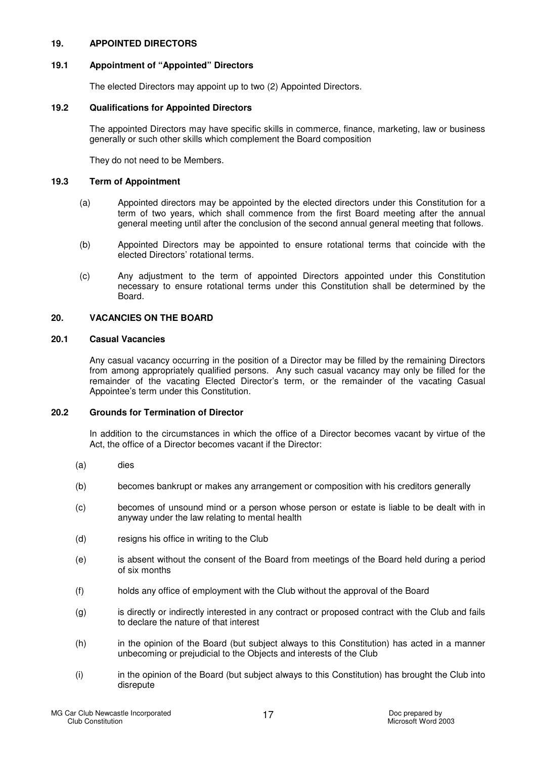## **19. APPOINTED DIRECTORS**

## **19.1 Appointment of "Appointed" Directors**

The elected Directors may appoint up to two (2) Appointed Directors.

#### **19.2 Qualifications for Appointed Directors**

The appointed Directors may have specific skills in commerce, finance, marketing, law or business generally or such other skills which complement the Board composition

They do not need to be Members.

#### **19.3 Term of Appointment**

- (a) Appointed directors may be appointed by the elected directors under this Constitution for a term of two years, which shall commence from the first Board meeting after the annual general meeting until after the conclusion of the second annual general meeting that follows.
- (b) Appointed Directors may be appointed to ensure rotational terms that coincide with the elected Directors' rotational terms.
- (c) Any adjustment to the term of appointed Directors appointed under this Constitution necessary to ensure rotational terms under this Constitution shall be determined by the Board.

## **20. VACANCIES ON THE BOARD**

## **20.1 Casual Vacancies**

Any casual vacancy occurring in the position of a Director may be filled by the remaining Directors from among appropriately qualified persons. Any such casual vacancy may only be filled for the remainder of the vacating Elected Director's term, or the remainder of the vacating Casual Appointee's term under this Constitution.

### **20.2 Grounds for Termination of Director**

In addition to the circumstances in which the office of a Director becomes vacant by virtue of the Act, the office of a Director becomes vacant if the Director:

- (a) dies
- (b) becomes bankrupt or makes any arrangement or composition with his creditors generally
- (c) becomes of unsound mind or a person whose person or estate is liable to be dealt with in anyway under the law relating to mental health
- (d) resigns his office in writing to the Club
- (e) is absent without the consent of the Board from meetings of the Board held during a period of six months
- (f) holds any office of employment with the Club without the approval of the Board
- (g) is directly or indirectly interested in any contract or proposed contract with the Club and fails to declare the nature of that interest
- (h) in the opinion of the Board (but subject always to this Constitution) has acted in a manner unbecoming or prejudicial to the Objects and interests of the Club
- (i) in the opinion of the Board (but subject always to this Constitution) has brought the Club into disrepute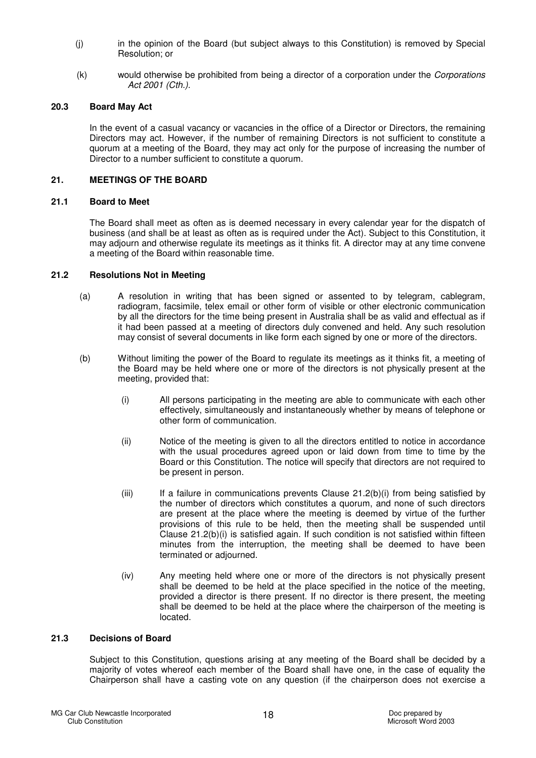- (j) in the opinion of the Board (but subject always to this Constitution) is removed by Special Resolution; or
- (k) would otherwise be prohibited from being a director of a corporation under the Corporations Act 2001 (Cth.).

#### **20.3 Board May Act**

In the event of a casual vacancy or vacancies in the office of a Director or Directors, the remaining Directors may act. However, if the number of remaining Directors is not sufficient to constitute a quorum at a meeting of the Board, they may act only for the purpose of increasing the number of Director to a number sufficient to constitute a quorum.

#### **21. MEETINGS OF THE BOARD**

## **21.1 Board to Meet**

The Board shall meet as often as is deemed necessary in every calendar year for the dispatch of business (and shall be at least as often as is required under the Act). Subject to this Constitution, it may adjourn and otherwise regulate its meetings as it thinks fit. A director may at any time convene a meeting of the Board within reasonable time.

#### **21.2 Resolutions Not in Meeting**

- (a) A resolution in writing that has been signed or assented to by telegram, cablegram, radiogram, facsimile, telex email or other form of visible or other electronic communication by all the directors for the time being present in Australia shall be as valid and effectual as if it had been passed at a meeting of directors duly convened and held. Any such resolution may consist of several documents in like form each signed by one or more of the directors.
- (b) Without limiting the power of the Board to regulate its meetings as it thinks fit, a meeting of the Board may be held where one or more of the directors is not physically present at the meeting, provided that:
	- (i) All persons participating in the meeting are able to communicate with each other effectively, simultaneously and instantaneously whether by means of telephone or other form of communication.
	- (ii) Notice of the meeting is given to all the directors entitled to notice in accordance with the usual procedures agreed upon or laid down from time to time by the Board or this Constitution. The notice will specify that directors are not required to be present in person.
	- $(iii)$  If a failure in communications prevents Clause 21.2(b) $(i)$  from being satisfied by the number of directors which constitutes a quorum, and none of such directors are present at the place where the meeting is deemed by virtue of the further provisions of this rule to be held, then the meeting shall be suspended until Clause  $21.2(b)(i)$  is satisfied again. If such condition is not satisfied within fifteen minutes from the interruption, the meeting shall be deemed to have been terminated or adjourned.
	- (iv) Any meeting held where one or more of the directors is not physically present shall be deemed to be held at the place specified in the notice of the meeting, provided a director is there present. If no director is there present, the meeting shall be deemed to be held at the place where the chairperson of the meeting is located.

#### **21.3 Decisions of Board**

Subject to this Constitution, questions arising at any meeting of the Board shall be decided by a majority of votes whereof each member of the Board shall have one, in the case of equality the Chairperson shall have a casting vote on any question (if the chairperson does not exercise a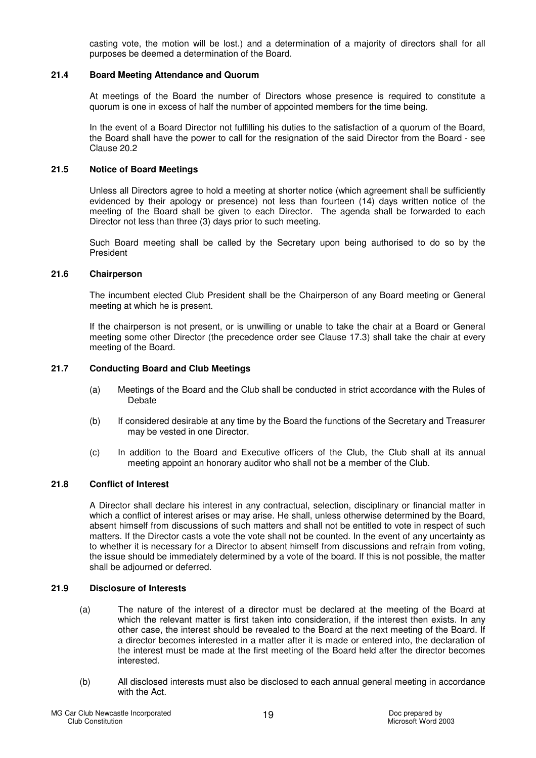casting vote, the motion will be lost.) and a determination of a majority of directors shall for all purposes be deemed a determination of the Board.

#### **21.4 Board Meeting Attendance and Quorum**

At meetings of the Board the number of Directors whose presence is required to constitute a quorum is one in excess of half the number of appointed members for the time being.

In the event of a Board Director not fulfilling his duties to the satisfaction of a quorum of the Board, the Board shall have the power to call for the resignation of the said Director from the Board - see Clause 20.2

#### **21.5 Notice of Board Meetings**

Unless all Directors agree to hold a meeting at shorter notice (which agreement shall be sufficiently evidenced by their apology or presence) not less than fourteen (14) days written notice of the meeting of the Board shall be given to each Director. The agenda shall be forwarded to each Director not less than three (3) days prior to such meeting.

Such Board meeting shall be called by the Secretary upon being authorised to do so by the President

#### **21.6 Chairperson**

The incumbent elected Club President shall be the Chairperson of any Board meeting or General meeting at which he is present.

If the chairperson is not present, or is unwilling or unable to take the chair at a Board or General meeting some other Director (the precedence order see Clause 17.3) shall take the chair at every meeting of the Board.

## **21.7 Conducting Board and Club Meetings**

- (a) Meetings of the Board and the Club shall be conducted in strict accordance with the Rules of Debate
- (b) If considered desirable at any time by the Board the functions of the Secretary and Treasurer may be vested in one Director.
- (c) In addition to the Board and Executive officers of the Club, the Club shall at its annual meeting appoint an honorary auditor who shall not be a member of the Club.

## **21.8 Conflict of Interest**

A Director shall declare his interest in any contractual, selection, disciplinary or financial matter in which a conflict of interest arises or may arise. He shall, unless otherwise determined by the Board, absent himself from discussions of such matters and shall not be entitled to vote in respect of such matters. If the Director casts a vote the vote shall not be counted. In the event of any uncertainty as to whether it is necessary for a Director to absent himself from discussions and refrain from voting, the issue should be immediately determined by a vote of the board. If this is not possible, the matter shall be adjourned or deferred.

#### **21.9 Disclosure of Interests**

- (a) The nature of the interest of a director must be declared at the meeting of the Board at which the relevant matter is first taken into consideration, if the interest then exists. In any other case, the interest should be revealed to the Board at the next meeting of the Board. If a director becomes interested in a matter after it is made or entered into, the declaration of the interest must be made at the first meeting of the Board held after the director becomes interested.
- (b) All disclosed interests must also be disclosed to each annual general meeting in accordance with the Act.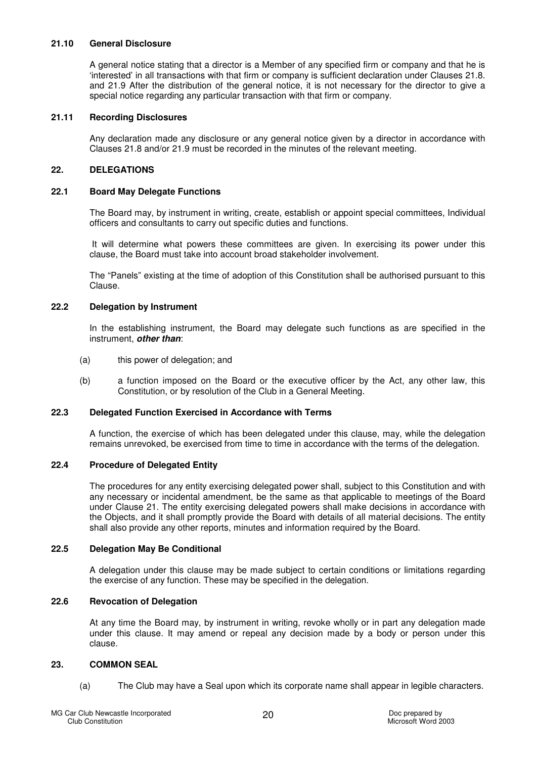#### **21.10 General Disclosure**

A general notice stating that a director is a Member of any specified firm or company and that he is 'interested' in all transactions with that firm or company is sufficient declaration under Clauses 21.8. and 21.9 After the distribution of the general notice, it is not necessary for the director to give a special notice regarding any particular transaction with that firm or company.

## **21.11 Recording Disclosures**

Any declaration made any disclosure or any general notice given by a director in accordance with Clauses 21.8 and/or 21.9 must be recorded in the minutes of the relevant meeting.

## **22. DELEGATIONS**

#### **22.1 Board May Delegate Functions**

The Board may, by instrument in writing, create, establish or appoint special committees, Individual officers and consultants to carry out specific duties and functions.

 It will determine what powers these committees are given. In exercising its power under this clause, the Board must take into account broad stakeholder involvement.

The "Panels" existing at the time of adoption of this Constitution shall be authorised pursuant to this Clause.

#### **22.2 Delegation by Instrument**

In the establishing instrument, the Board may delegate such functions as are specified in the instrument, **other than**:

- (a) this power of delegation; and
- (b) a function imposed on the Board or the executive officer by the Act, any other law, this Constitution, or by resolution of the Club in a General Meeting.

### **22.3 Delegated Function Exercised in Accordance with Terms**

A function, the exercise of which has been delegated under this clause, may, while the delegation remains unrevoked, be exercised from time to time in accordance with the terms of the delegation.

## **22.4 Procedure of Delegated Entity**

The procedures for any entity exercising delegated power shall, subject to this Constitution and with any necessary or incidental amendment, be the same as that applicable to meetings of the Board under Clause 21. The entity exercising delegated powers shall make decisions in accordance with the Objects, and it shall promptly provide the Board with details of all material decisions. The entity shall also provide any other reports, minutes and information required by the Board.

## **22.5 Delegation May Be Conditional**

A delegation under this clause may be made subject to certain conditions or limitations regarding the exercise of any function. These may be specified in the delegation.

#### **22.6 Revocation of Delegation**

At any time the Board may, by instrument in writing, revoke wholly or in part any delegation made under this clause. It may amend or repeal any decision made by a body or person under this clause.

## **23. COMMON SEAL**

(a) The Club may have a Seal upon which its corporate name shall appear in legible characters.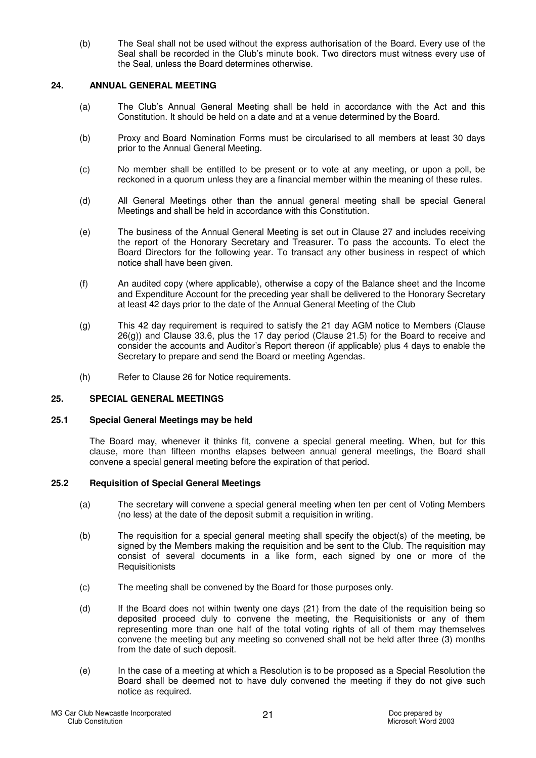(b) The Seal shall not be used without the express authorisation of the Board. Every use of the Seal shall be recorded in the Club's minute book. Two directors must witness every use of the Seal, unless the Board determines otherwise.

## **24. ANNUAL GENERAL MEETING**

- (a) The Club's Annual General Meeting shall be held in accordance with the Act and this Constitution. It should be held on a date and at a venue determined by the Board.
- (b) Proxy and Board Nomination Forms must be circularised to all members at least 30 days prior to the Annual General Meeting.
- (c) No member shall be entitled to be present or to vote at any meeting, or upon a poll, be reckoned in a quorum unless they are a financial member within the meaning of these rules.
- (d) All General Meetings other than the annual general meeting shall be special General Meetings and shall be held in accordance with this Constitution.
- (e) The business of the Annual General Meeting is set out in Clause 27 and includes receiving the report of the Honorary Secretary and Treasurer. To pass the accounts. To elect the Board Directors for the following year. To transact any other business in respect of which notice shall have been given.
- (f) An audited copy (where applicable), otherwise a copy of the Balance sheet and the Income and Expenditure Account for the preceding year shall be delivered to the Honorary Secretary at least 42 days prior to the date of the Annual General Meeting of the Club
- (g) This 42 day requirement is required to satisfy the 21 day AGM notice to Members (Clause 26(g)) and Clause 33.6, plus the 17 day period (Clause 21.5) for the Board to receive and consider the accounts and Auditor's Report thereon (if applicable) plus 4 days to enable the Secretary to prepare and send the Board or meeting Agendas.
- (h) Refer to Clause 26 for Notice requirements.

## **25. SPECIAL GENERAL MEETINGS**

#### **25.1 Special General Meetings may be held**

The Board may, whenever it thinks fit, convene a special general meeting. When, but for this clause, more than fifteen months elapses between annual general meetings, the Board shall convene a special general meeting before the expiration of that period.

## **25.2 Requisition of Special General Meetings**

- (a) The secretary will convene a special general meeting when ten per cent of Voting Members (no less) at the date of the deposit submit a requisition in writing.
- (b) The requisition for a special general meeting shall specify the object(s) of the meeting, be signed by the Members making the requisition and be sent to the Club. The requisition may consist of several documents in a like form, each signed by one or more of the **Requisitionists**
- (c) The meeting shall be convened by the Board for those purposes only.
- (d) If the Board does not within twenty one days (21) from the date of the requisition being so deposited proceed duly to convene the meeting, the Requisitionists or any of them representing more than one half of the total voting rights of all of them may themselves convene the meeting but any meeting so convened shall not be held after three (3) months from the date of such deposit.
- (e) In the case of a meeting at which a Resolution is to be proposed as a Special Resolution the Board shall be deemed not to have duly convened the meeting if they do not give such notice as required.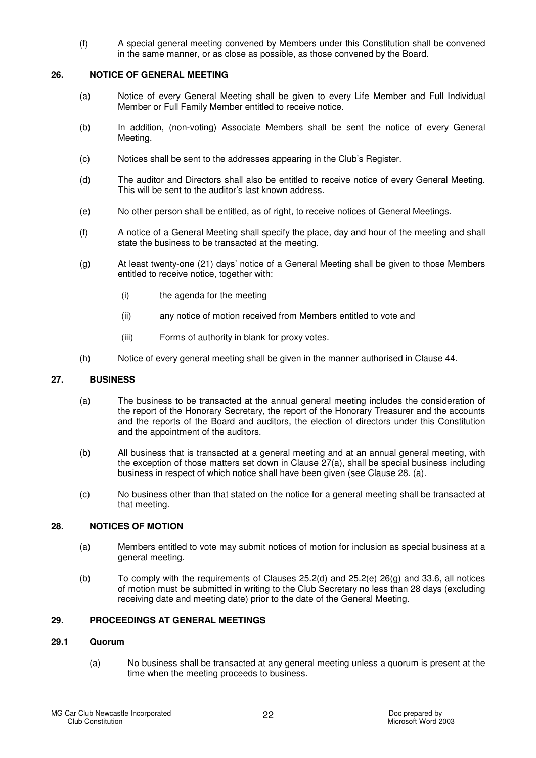(f) A special general meeting convened by Members under this Constitution shall be convened in the same manner, or as close as possible, as those convened by the Board.

#### **26. NOTICE OF GENERAL MEETING**

- (a) Notice of every General Meeting shall be given to every Life Member and Full Individual Member or Full Family Member entitled to receive notice.
- (b) In addition, (non-voting) Associate Members shall be sent the notice of every General Meeting.
- (c) Notices shall be sent to the addresses appearing in the Club's Register.
- (d) The auditor and Directors shall also be entitled to receive notice of every General Meeting. This will be sent to the auditor's last known address.
- (e) No other person shall be entitled, as of right, to receive notices of General Meetings.
- (f) A notice of a General Meeting shall specify the place, day and hour of the meeting and shall state the business to be transacted at the meeting.
- (g) At least twenty-one (21) days' notice of a General Meeting shall be given to those Members entitled to receive notice, together with:
	- (i) the agenda for the meeting
	- (ii) any notice of motion received from Members entitled to vote and
	- (iii) Forms of authority in blank for proxy votes.
- (h) Notice of every general meeting shall be given in the manner authorised in Clause 44.

#### **27. BUSINESS**

- (a) The business to be transacted at the annual general meeting includes the consideration of the report of the Honorary Secretary, the report of the Honorary Treasurer and the accounts and the reports of the Board and auditors, the election of directors under this Constitution and the appointment of the auditors.
- (b) All business that is transacted at a general meeting and at an annual general meeting, with the exception of those matters set down in Clause 27(a), shall be special business including business in respect of which notice shall have been given (see Clause 28. (a).
- (c) No business other than that stated on the notice for a general meeting shall be transacted at that meeting.

## **28. NOTICES OF MOTION**

- (a) Members entitled to vote may submit notices of motion for inclusion as special business at a general meeting.
- (b) To comply with the requirements of Clauses 25.2(d) and 25.2(e) 26(g) and 33.6, all notices of motion must be submitted in writing to the Club Secretary no less than 28 days (excluding receiving date and meeting date) prior to the date of the General Meeting.

## **29. PROCEEDINGS AT GENERAL MEETINGS**

#### **29.1 Quorum**

(a) No business shall be transacted at any general meeting unless a quorum is present at the time when the meeting proceeds to business.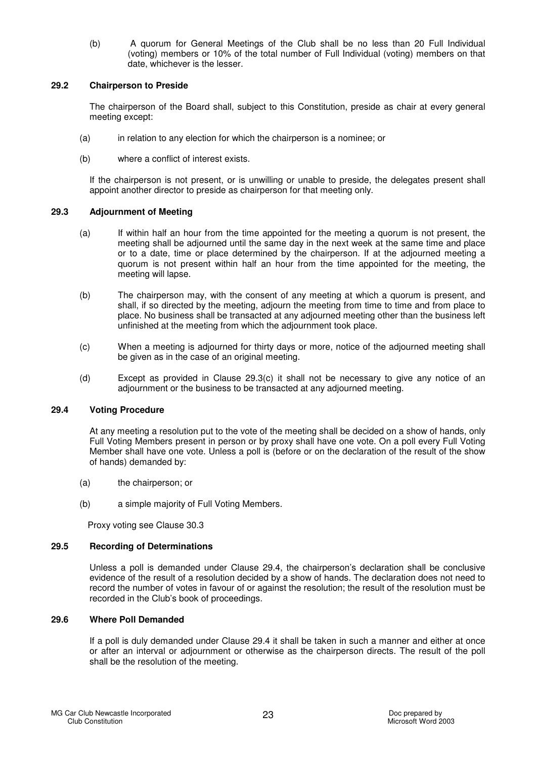(b) A quorum for General Meetings of the Club shall be no less than 20 Full Individual (voting) members or 10% of the total number of Full Individual (voting) members on that date, whichever is the lesser.

#### **29.2 Chairperson to Preside**

The chairperson of the Board shall, subject to this Constitution, preside as chair at every general meeting except:

- (a) in relation to any election for which the chairperson is a nominee; or
- (b) where a conflict of interest exists.

If the chairperson is not present, or is unwilling or unable to preside, the delegates present shall appoint another director to preside as chairperson for that meeting only.

## **29.3 Adjournment of Meeting**

- (a) If within half an hour from the time appointed for the meeting a quorum is not present, the meeting shall be adjourned until the same day in the next week at the same time and place or to a date, time or place determined by the chairperson. If at the adjourned meeting a quorum is not present within half an hour from the time appointed for the meeting, the meeting will lapse.
- (b) The chairperson may, with the consent of any meeting at which a quorum is present, and shall, if so directed by the meeting, adjourn the meeting from time to time and from place to place. No business shall be transacted at any adjourned meeting other than the business left unfinished at the meeting from which the adjournment took place.
- (c) When a meeting is adjourned for thirty days or more, notice of the adjourned meeting shall be given as in the case of an original meeting.
- (d) Except as provided in Clause 29.3(c) it shall not be necessary to give any notice of an adjournment or the business to be transacted at any adjourned meeting.

## **29.4 Voting Procedure**

At any meeting a resolution put to the vote of the meeting shall be decided on a show of hands, only Full Voting Members present in person or by proxy shall have one vote. On a poll every Full Voting Member shall have one vote. Unless a poll is (before or on the declaration of the result of the show of hands) demanded by:

- (a) the chairperson; or
- (b) a simple majority of Full Voting Members.

Proxy voting see Clause 30.3

## **29.5 Recording of Determinations**

Unless a poll is demanded under Clause 29.4, the chairperson's declaration shall be conclusive evidence of the result of a resolution decided by a show of hands. The declaration does not need to record the number of votes in favour of or against the resolution; the result of the resolution must be recorded in the Club's book of proceedings.

#### **29.6 Where Poll Demanded**

If a poll is duly demanded under Clause 29.4 it shall be taken in such a manner and either at once or after an interval or adjournment or otherwise as the chairperson directs. The result of the poll shall be the resolution of the meeting.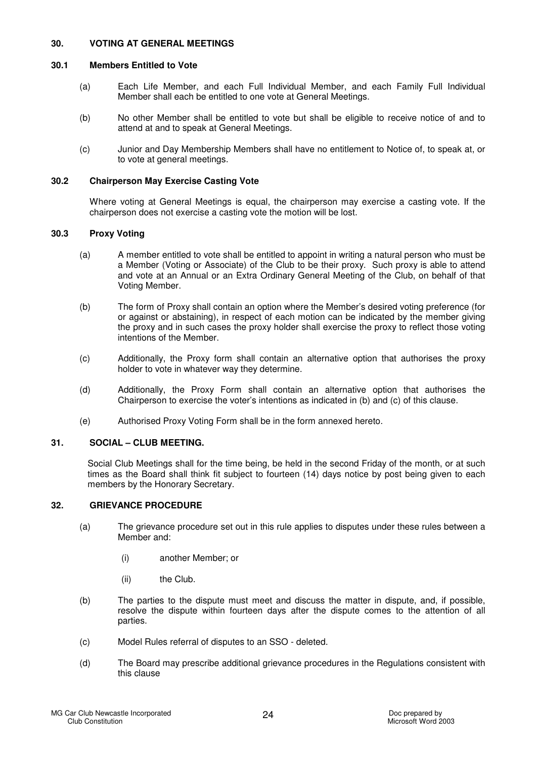## **30. VOTING AT GENERAL MEETINGS**

## **30.1 Members Entitled to Vote**

- (a) Each Life Member, and each Full Individual Member, and each Family Full Individual Member shall each be entitled to one vote at General Meetings.
- (b) No other Member shall be entitled to vote but shall be eligible to receive notice of and to attend at and to speak at General Meetings.
- (c) Junior and Day Membership Members shall have no entitlement to Notice of, to speak at, or to vote at general meetings.

#### **30.2 Chairperson May Exercise Casting Vote**

Where voting at General Meetings is equal, the chairperson may exercise a casting vote. If the chairperson does not exercise a casting vote the motion will be lost.

#### **30.3 Proxy Voting**

- (a) A member entitled to vote shall be entitled to appoint in writing a natural person who must be a Member (Voting or Associate) of the Club to be their proxy. Such proxy is able to attend and vote at an Annual or an Extra Ordinary General Meeting of the Club, on behalf of that Voting Member.
- (b) The form of Proxy shall contain an option where the Member's desired voting preference (for or against or abstaining), in respect of each motion can be indicated by the member giving the proxy and in such cases the proxy holder shall exercise the proxy to reflect those voting intentions of the Member.
- (c) Additionally, the Proxy form shall contain an alternative option that authorises the proxy holder to vote in whatever way they determine.
- (d) Additionally, the Proxy Form shall contain an alternative option that authorises the Chairperson to exercise the voter's intentions as indicated in (b) and (c) of this clause.
- (e) Authorised Proxy Voting Form shall be in the form annexed hereto.

#### **31. SOCIAL – CLUB MEETING.**

Social Club Meetings shall for the time being, be held in the second Friday of the month, or at such times as the Board shall think fit subject to fourteen (14) days notice by post being given to each members by the Honorary Secretary.

#### **32. GRIEVANCE PROCEDURE**

- (a) The grievance procedure set out in this rule applies to disputes under these rules between a Member and:
	- (i) another Member; or
	- (ii) the Club.
- (b) The parties to the dispute must meet and discuss the matter in dispute, and, if possible, resolve the dispute within fourteen days after the dispute comes to the attention of all parties.
- (c) Model Rules referral of disputes to an SSO deleted.
- (d) The Board may prescribe additional grievance procedures in the Regulations consistent with this clause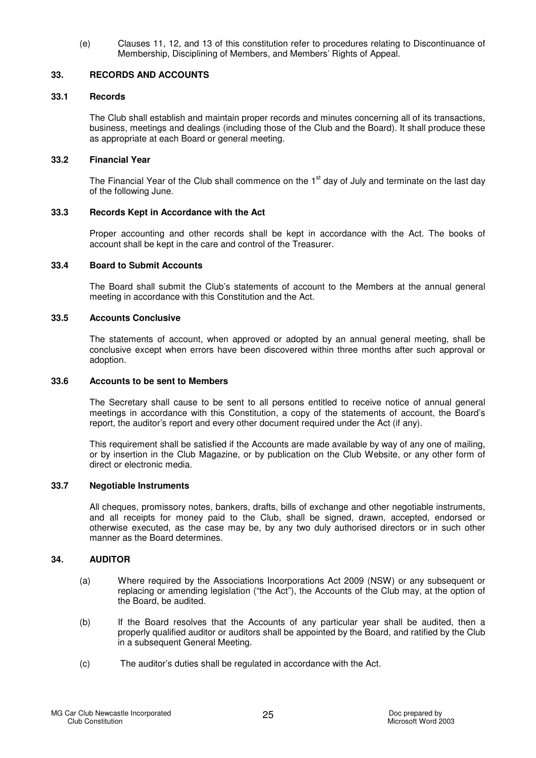(e) Clauses 11, 12, and 13 of this constitution refer to procedures relating to Discontinuance of Membership, Disciplining of Members, and Members' Rights of Appeal.

## **33. RECORDS AND ACCOUNTS**

#### **33.1 Records**

The Club shall establish and maintain proper records and minutes concerning all of its transactions, business, meetings and dealings (including those of the Club and the Board). It shall produce these as appropriate at each Board or general meeting.

#### **33.2 Financial Year**

The Financial Year of the Club shall commence on the  $1<sup>st</sup>$  day of July and terminate on the last day of the following June.

#### **33.3 Records Kept in Accordance with the Act**

Proper accounting and other records shall be kept in accordance with the Act. The books of account shall be kept in the care and control of the Treasurer.

#### **33.4 Board to Submit Accounts**

The Board shall submit the Club's statements of account to the Members at the annual general meeting in accordance with this Constitution and the Act.

#### **33.5 Accounts Conclusive**

The statements of account, when approved or adopted by an annual general meeting, shall be conclusive except when errors have been discovered within three months after such approval or adoption.

#### **33.6 Accounts to be sent to Members**

The Secretary shall cause to be sent to all persons entitled to receive notice of annual general meetings in accordance with this Constitution, a copy of the statements of account, the Board's report, the auditor's report and every other document required under the Act (if any).

This requirement shall be satisfied if the Accounts are made available by way of any one of mailing, or by insertion in the Club Magazine, or by publication on the Club Website, or any other form of direct or electronic media.

#### **33.7 Negotiable Instruments**

All cheques, promissory notes, bankers, drafts, bills of exchange and other negotiable instruments, and all receipts for money paid to the Club, shall be signed, drawn, accepted, endorsed or otherwise executed, as the case may be, by any two duly authorised directors or in such other manner as the Board determines.

## **34. AUDITOR**

- (a) Where required by the Associations Incorporations Act 2009 (NSW) or any subsequent or replacing or amending legislation ("the Act"), the Accounts of the Club may, at the option of the Board, be audited.
- (b) If the Board resolves that the Accounts of any particular year shall be audited, then a properly qualified auditor or auditors shall be appointed by the Board, and ratified by the Club in a subsequent General Meeting.
- (c) The auditor's duties shall be regulated in accordance with the Act.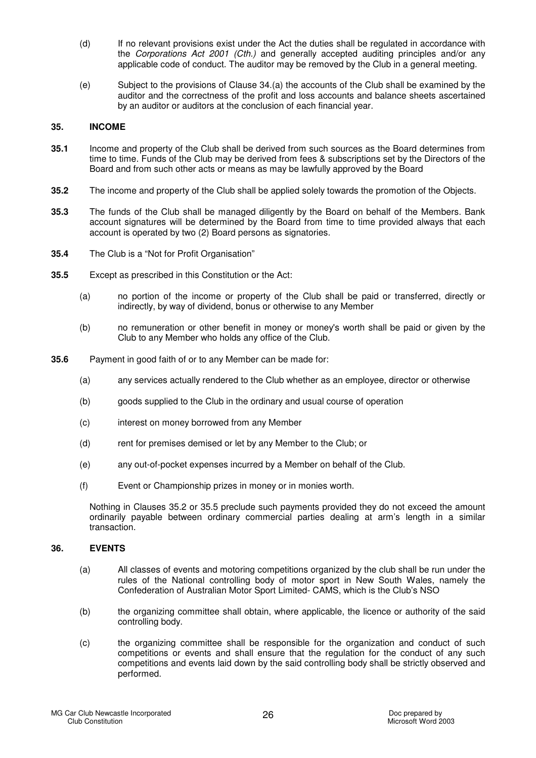- (d) If no relevant provisions exist under the Act the duties shall be regulated in accordance with the Corporations Act 2001 (Cth.) and generally accepted auditing principles and/or any applicable code of conduct. The auditor may be removed by the Club in a general meeting.
- (e) Subject to the provisions of Clause 34.(a) the accounts of the Club shall be examined by the auditor and the correctness of the profit and loss accounts and balance sheets ascertained by an auditor or auditors at the conclusion of each financial year.

#### **35. INCOME**

- **35.1** Income and property of the Club shall be derived from such sources as the Board determines from time to time. Funds of the Club may be derived from fees & subscriptions set by the Directors of the Board and from such other acts or means as may be lawfully approved by the Board
- **35.2** The income and property of the Club shall be applied solely towards the promotion of the Objects.
- **35.3** The funds of the Club shall be managed diligently by the Board on behalf of the Members. Bank account signatures will be determined by the Board from time to time provided always that each account is operated by two (2) Board persons as signatories.
- **35.4** The Club is a "Not for Profit Organisation"
- **35.5** Except as prescribed in this Constitution or the Act:
	- (a) no portion of the income or property of the Club shall be paid or transferred, directly or indirectly, by way of dividend, bonus or otherwise to any Member
	- (b) no remuneration or other benefit in money or money's worth shall be paid or given by the Club to any Member who holds any office of the Club.
- **35.6** Payment in good faith of or to any Member can be made for:
	- (a) any services actually rendered to the Club whether as an employee, director or otherwise
	- (b) goods supplied to the Club in the ordinary and usual course of operation
	- (c) interest on money borrowed from any Member
	- (d) rent for premises demised or let by any Member to the Club; or
	- (e) any out-of-pocket expenses incurred by a Member on behalf of the Club.
	- (f) Event or Championship prizes in money or in monies worth.

Nothing in Clauses 35.2 or 35.5 preclude such payments provided they do not exceed the amount ordinarily payable between ordinary commercial parties dealing at arm's length in a similar transaction.

## **36. EVENTS**

- (a) All classes of events and motoring competitions organized by the club shall be run under the rules of the National controlling body of motor sport in New South Wales, namely the Confederation of Australian Motor Sport Limited- CAMS, which is the Club's NSO
- (b) the organizing committee shall obtain, where applicable, the licence or authority of the said controlling body.
- (c) the organizing committee shall be responsible for the organization and conduct of such competitions or events and shall ensure that the regulation for the conduct of any such competitions and events laid down by the said controlling body shall be strictly observed and performed.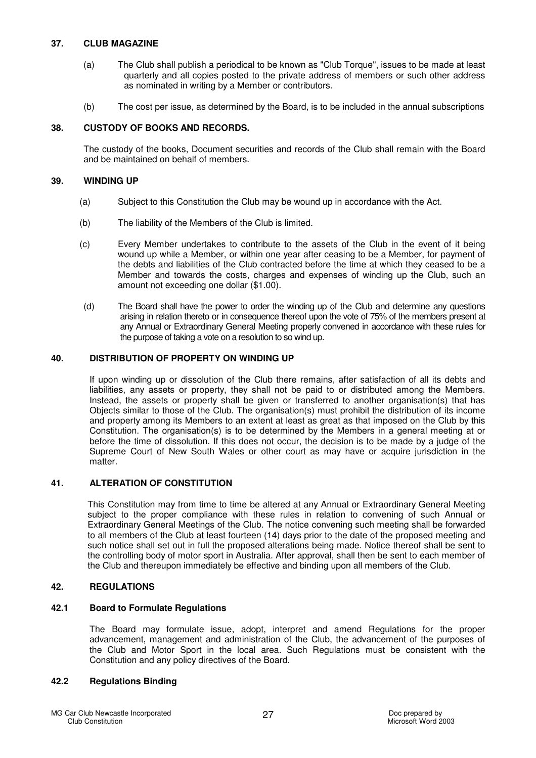## **37. CLUB MAGAZINE**

- (a) The Club shall publish a periodical to be known as "Club Torque", issues to be made at least quarterly and all copies posted to the private address of members or such other address as nominated in writing by a Member or contributors.
- (b) The cost per issue, as determined by the Board, is to be included in the annual subscriptions

## **38. CUSTODY OF BOOKS AND RECORDS.**

The custody of the books, Document securities and records of the Club shall remain with the Board and be maintained on behalf of members.

## **39. WINDING UP**

- (a) Subject to this Constitution the Club may be wound up in accordance with the Act.
- (b) The liability of the Members of the Club is limited.
- (c) Every Member undertakes to contribute to the assets of the Club in the event of it being wound up while a Member, or within one year after ceasing to be a Member, for payment of the debts and liabilities of the Club contracted before the time at which they ceased to be a Member and towards the costs, charges and expenses of winding up the Club, such an amount not exceeding one dollar (\$1.00).
- (d) The Board shall have the power to order the winding up of the Club and determine any questions arising in relation thereto or in consequence thereof upon the vote of 75% of the members present at any Annual or Extraordinary General Meeting properly convened in accordance with these rules for the purpose of taking a vote on a resolution to so wind up.

## **40. DISTRIBUTION OF PROPERTY ON WINDING UP**

If upon winding up or dissolution of the Club there remains, after satisfaction of all its debts and liabilities, any assets or property, they shall not be paid to or distributed among the Members. Instead, the assets or property shall be given or transferred to another organisation(s) that has Objects similar to those of the Club. The organisation(s) must prohibit the distribution of its income and property among its Members to an extent at least as great as that imposed on the Club by this Constitution. The organisation(s) is to be determined by the Members in a general meeting at or before the time of dissolution. If this does not occur, the decision is to be made by a judge of the Supreme Court of New South Wales or other court as may have or acquire jurisdiction in the matter.

## **41. ALTERATION OF CONSTITUTION**

This Constitution may from time to time be altered at any Annual or Extraordinary General Meeting subject to the proper compliance with these rules in relation to convening of such Annual or Extraordinary General Meetings of the Club. The notice convening such meeting shall be forwarded to all members of the Club at least fourteen (14) days prior to the date of the proposed meeting and such notice shall set out in full the proposed alterations being made. Notice thereof shall be sent to the controlling body of motor sport in Australia. After approval, shall then be sent to each member of the Club and thereupon immediately be effective and binding upon all members of the Club.

## **42. REGULATIONS**

## **42.1 Board to Formulate Regulations**

The Board may formulate issue, adopt, interpret and amend Regulations for the proper advancement, management and administration of the Club, the advancement of the purposes of the Club and Motor Sport in the local area. Such Regulations must be consistent with the Constitution and any policy directives of the Board.

## **42.2 Regulations Binding**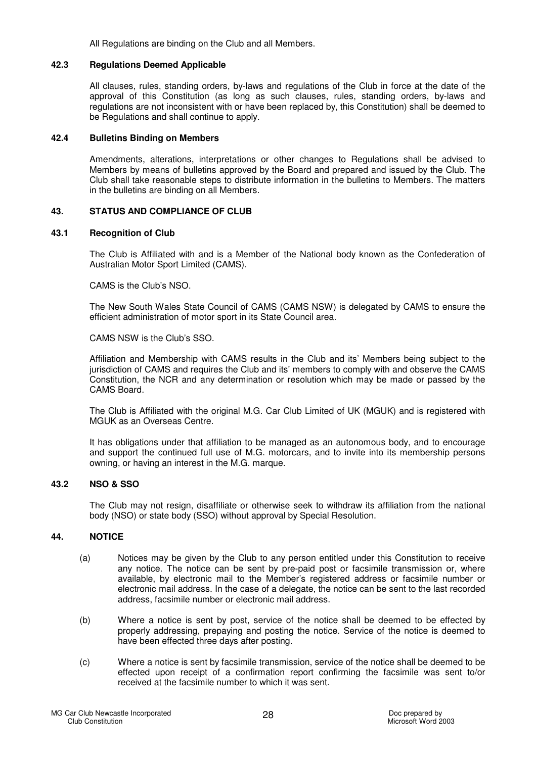All Regulations are binding on the Club and all Members.

## **42.3 Regulations Deemed Applicable**

All clauses, rules, standing orders, by-laws and regulations of the Club in force at the date of the approval of this Constitution (as long as such clauses, rules, standing orders, by-laws and regulations are not inconsistent with or have been replaced by, this Constitution) shall be deemed to be Regulations and shall continue to apply.

#### **42.4 Bulletins Binding on Members**

Amendments, alterations, interpretations or other changes to Regulations shall be advised to Members by means of bulletins approved by the Board and prepared and issued by the Club. The Club shall take reasonable steps to distribute information in the bulletins to Members. The matters in the bulletins are binding on all Members.

#### **43. STATUS AND COMPLIANCE OF CLUB**

#### **43.1 Recognition of Club**

The Club is Affiliated with and is a Member of the National body known as the Confederation of Australian Motor Sport Limited (CAMS).

CAMS is the Club's NSO.

The New South Wales State Council of CAMS (CAMS NSW) is delegated by CAMS to ensure the efficient administration of motor sport in its State Council area.

CAMS NSW is the Club's SSO.

Affiliation and Membership with CAMS results in the Club and its' Members being subject to the jurisdiction of CAMS and requires the Club and its' members to comply with and observe the CAMS Constitution, the NCR and any determination or resolution which may be made or passed by the CAMS Board.

The Club is Affiliated with the original M.G. Car Club Limited of UK (MGUK) and is registered with MGUK as an Overseas Centre.

It has obligations under that affiliation to be managed as an autonomous body, and to encourage and support the continued full use of M.G. motorcars, and to invite into its membership persons owning, or having an interest in the M.G. marque.

## **43.2 NSO & SSO**

The Club may not resign, disaffiliate or otherwise seek to withdraw its affiliation from the national body (NSO) or state body (SSO) without approval by Special Resolution.

## **44. NOTICE**

- (a) Notices may be given by the Club to any person entitled under this Constitution to receive any notice. The notice can be sent by pre-paid post or facsimile transmission or, where available, by electronic mail to the Member's registered address or facsimile number or electronic mail address. In the case of a delegate, the notice can be sent to the last recorded address, facsimile number or electronic mail address.
- (b) Where a notice is sent by post, service of the notice shall be deemed to be effected by properly addressing, prepaying and posting the notice. Service of the notice is deemed to have been effected three days after posting.
- (c) Where a notice is sent by facsimile transmission, service of the notice shall be deemed to be effected upon receipt of a confirmation report confirming the facsimile was sent to/or received at the facsimile number to which it was sent.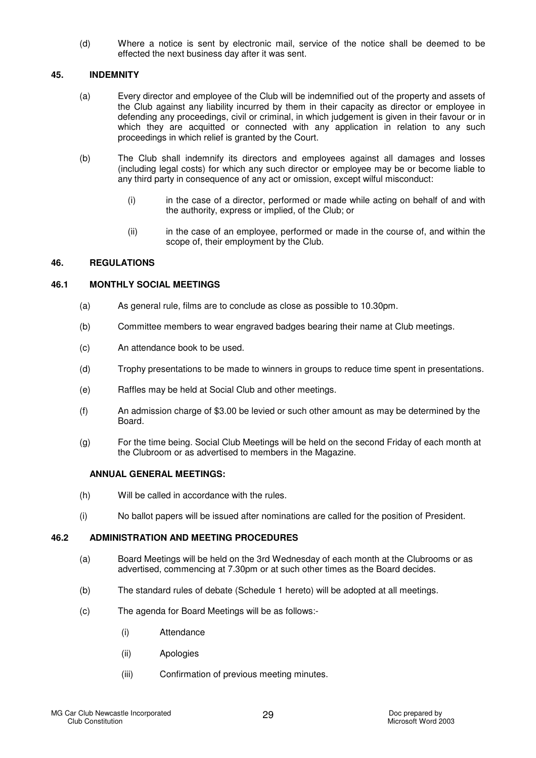(d) Where a notice is sent by electronic mail, service of the notice shall be deemed to be effected the next business day after it was sent.

## **45. INDEMNITY**

- (a) Every director and employee of the Club will be indemnified out of the property and assets of the Club against any liability incurred by them in their capacity as director or employee in defending any proceedings, civil or criminal, in which judgement is given in their favour or in which they are acquitted or connected with any application in relation to any such proceedings in which relief is granted by the Court.
- (b) The Club shall indemnify its directors and employees against all damages and losses (including legal costs) for which any such director or employee may be or become liable to any third party in consequence of any act or omission, except wilful misconduct:
	- (i) in the case of a director, performed or made while acting on behalf of and with the authority, express or implied, of the Club; or
	- (ii) in the case of an employee, performed or made in the course of, and within the scope of, their employment by the Club.

## **46. REGULATIONS**

### **46.1 MONTHLY SOCIAL MEETINGS**

- (a) As general rule, films are to conclude as close as possible to 10.30pm.
- (b) Committee members to wear engraved badges bearing their name at Club meetings.
- (c) An attendance book to be used.
- (d) Trophy presentations to be made to winners in groups to reduce time spent in presentations.
- (e) Raffles may be held at Social Club and other meetings.
- (f) An admission charge of \$3.00 be levied or such other amount as may be determined by the Board.
- (g) For the time being. Social Club Meetings will be held on the second Friday of each month at the Clubroom or as advertised to members in the Magazine.

## **ANNUAL GENERAL MEETINGS:**

- (h) Will be called in accordance with the rules.
- (i) No ballot papers will be issued after nominations are called for the position of President.

## **46.2 ADMINISTRATION AND MEETING PROCEDURES**

- (a) Board Meetings will be held on the 3rd Wednesday of each month at the Clubrooms or as advertised, commencing at 7.30pm or at such other times as the Board decides.
- (b) The standard rules of debate (Schedule 1 hereto) will be adopted at all meetings.
- (c) The agenda for Board Meetings will be as follows:-
	- (i) Attendance
	- (ii) Apologies
	- (iii) Confirmation of previous meeting minutes.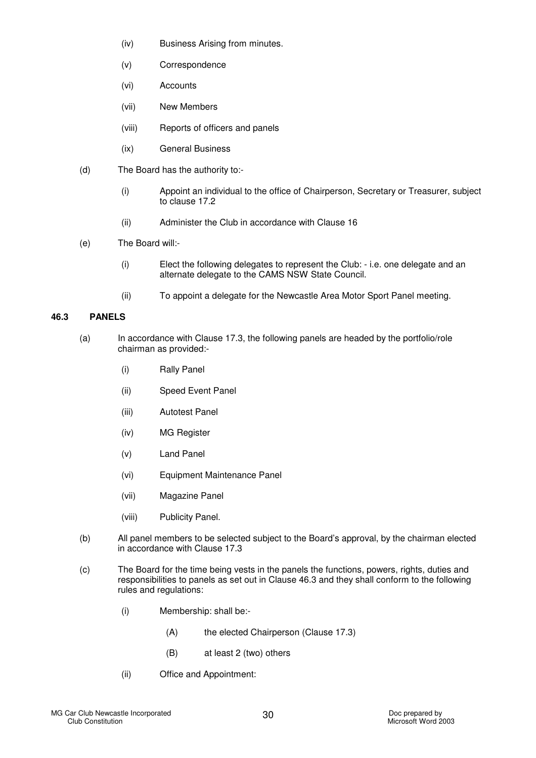- (iv) Business Arising from minutes.
- (v) Correspondence
- (vi) Accounts
- (vii) New Members
- (viii) Reports of officers and panels
- (ix) General Business
- (d) The Board has the authority to:-
	- (i) Appoint an individual to the office of Chairperson, Secretary or Treasurer, subject to clause 17.2
	- (ii) Administer the Club in accordance with Clause 16
- (e) The Board will:-
	- (i) Elect the following delegates to represent the Club: i.e. one delegate and an alternate delegate to the CAMS NSW State Council.
	- (ii) To appoint a delegate for the Newcastle Area Motor Sport Panel meeting.

## **46.3 PANELS**

- (a) In accordance with Clause 17.3, the following panels are headed by the portfolio/role chairman as provided:-
	- (i) Rally Panel
	- (ii) Speed Event Panel
	- (iii) Autotest Panel
	- (iv) MG Register
	- (v) Land Panel
	- (vi) Equipment Maintenance Panel
	- (vii) Magazine Panel
	- (viii) Publicity Panel.
- (b) All panel members to be selected subject to the Board's approval, by the chairman elected in accordance with Clause 17.3
- (c) The Board for the time being vests in the panels the functions, powers, rights, duties and responsibilities to panels as set out in Clause 46.3 and they shall conform to the following rules and regulations:
	- (i) Membership: shall be:-
		- (A) the elected Chairperson (Clause 17.3)
		- (B) at least 2 (two) others
	- (ii) Office and Appointment: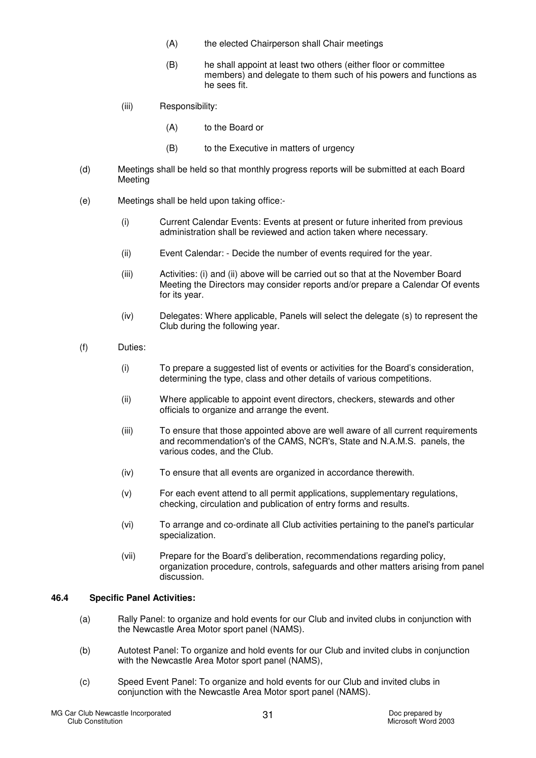- (A) the elected Chairperson shall Chair meetings
- (B) he shall appoint at least two others (either floor or committee members) and delegate to them such of his powers and functions as he sees fit.
- (iii) Responsibility:
	- (A) to the Board or
	- (B) to the Executive in matters of urgency
- (d) Meetings shall be held so that monthly progress reports will be submitted at each Board Meeting
- (e) Meetings shall be held upon taking office:-
	- (i) Current Calendar Events: Events at present or future inherited from previous administration shall be reviewed and action taken where necessary.
	- (ii) Event Calendar: Decide the number of events required for the year.
	- (iii) Activities: (i) and (ii) above will be carried out so that at the November Board Meeting the Directors may consider reports and/or prepare a Calendar Of events for its year.
	- (iv) Delegates: Where applicable, Panels will select the delegate (s) to represent the Club during the following year.
- (f) Duties:
	- (i) To prepare a suggested list of events or activities for the Board's consideration, determining the type, class and other details of various competitions.
	- (ii) Where applicable to appoint event directors, checkers, stewards and other officials to organize and arrange the event.
	- (iii) To ensure that those appointed above are well aware of all current requirements and recommendation's of the CAMS, NCR's, State and N.A.M.S. panels, the various codes, and the Club.
	- (iv) To ensure that all events are organized in accordance therewith.
	- (v) For each event attend to all permit applications, supplementary regulations, checking, circulation and publication of entry forms and results.
	- (vi) To arrange and co-ordinate all Club activities pertaining to the panel's particular specialization.
	- (vii) Prepare for the Board's deliberation, recommendations regarding policy, organization procedure, controls, safeguards and other matters arising from panel discussion.

## **46.4 Specific Panel Activities:**

- (a) Rally Panel: to organize and hold events for our Club and invited clubs in conjunction with the Newcastle Area Motor sport panel (NAMS).
- (b) Autotest Panel: To organize and hold events for our Club and invited clubs in conjunction with the Newcastle Area Motor sport panel (NAMS),
- (c) Speed Event Panel: To organize and hold events for our Club and invited clubs in conjunction with the Newcastle Area Motor sport panel (NAMS).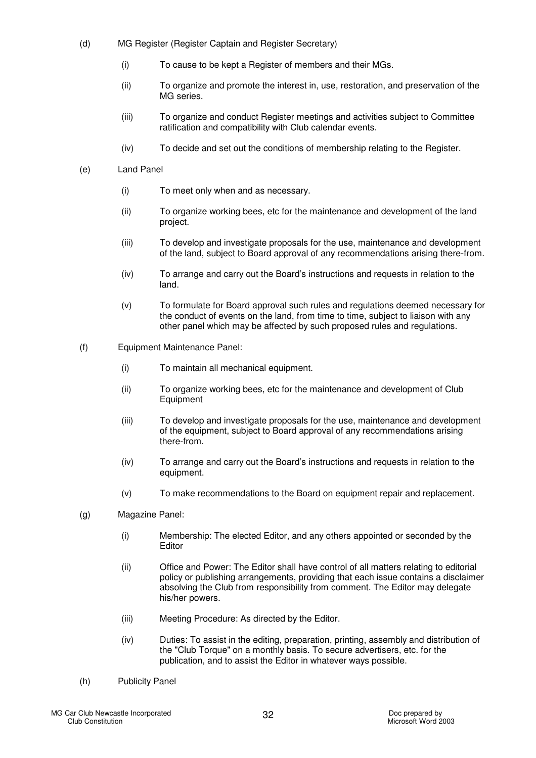- (d) MG Register (Register Captain and Register Secretary)
	- (i) To cause to be kept a Register of members and their MGs.
	- (ii) To organize and promote the interest in, use, restoration, and preservation of the MG series.
	- (iii) To organize and conduct Register meetings and activities subject to Committee ratification and compatibility with Club calendar events.
	- (iv) To decide and set out the conditions of membership relating to the Register.

#### (e) Land Panel

- (i) To meet only when and as necessary.
- (ii) To organize working bees, etc for the maintenance and development of the land project.
- (iii) To develop and investigate proposals for the use, maintenance and development of the land, subject to Board approval of any recommendations arising there-from.
- (iv) To arrange and carry out the Board's instructions and requests in relation to the land.
- (v) To formulate for Board approval such rules and regulations deemed necessary for the conduct of events on the land, from time to time, subject to liaison with any other panel which may be affected by such proposed rules and regulations.
- (f) Equipment Maintenance Panel:
	- (i) To maintain all mechanical equipment.
	- (ii) To organize working bees, etc for the maintenance and development of Club **Equipment**
	- (iii) To develop and investigate proposals for the use, maintenance and development of the equipment, subject to Board approval of any recommendations arising there-from.
	- (iv) To arrange and carry out the Board's instructions and requests in relation to the equipment.
	- (v) To make recommendations to the Board on equipment repair and replacement.
- (g) Magazine Panel:
	- (i) Membership: The elected Editor, and any others appointed or seconded by the Editor
	- (ii) Office and Power: The Editor shall have control of all matters relating to editorial policy or publishing arrangements, providing that each issue contains a disclaimer absolving the Club from responsibility from comment. The Editor may delegate his/her powers.
	- (iii) Meeting Procedure: As directed by the Editor.
	- (iv) Duties: To assist in the editing, preparation, printing, assembly and distribution of the "Club Torque" on a monthly basis. To secure advertisers, etc. for the publication, and to assist the Editor in whatever ways possible.
- (h) Publicity Panel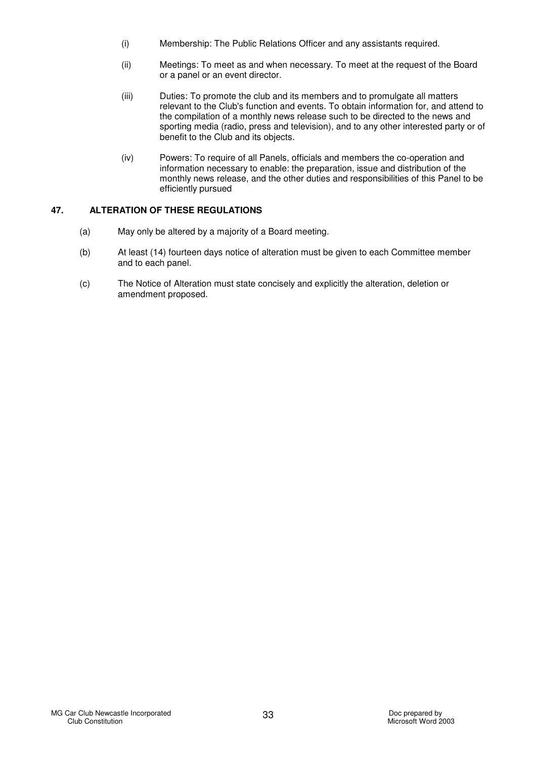- (i) Membership: The Public Relations Officer and any assistants required.
- (ii) Meetings: To meet as and when necessary. To meet at the request of the Board or a panel or an event director.
- (iii) Duties: To promote the club and its members and to promulgate all matters relevant to the Club's function and events. To obtain information for, and attend to the compilation of a monthly news release such to be directed to the news and sporting media (radio, press and television), and to any other interested party or of benefit to the Club and its objects.
- (iv) Powers: To require of all Panels, officials and members the co-operation and information necessary to enable: the preparation, issue and distribution of the monthly news release, and the other duties and responsibilities of this Panel to be efficiently pursued

## **47. ALTERATION OF THESE REGULATIONS**

- (a) May only be altered by a majority of a Board meeting.
- (b) At least (14) fourteen days notice of alteration must be given to each Committee member and to each panel.
- (c) The Notice of Alteration must state concisely and explicitly the alteration, deletion or amendment proposed.